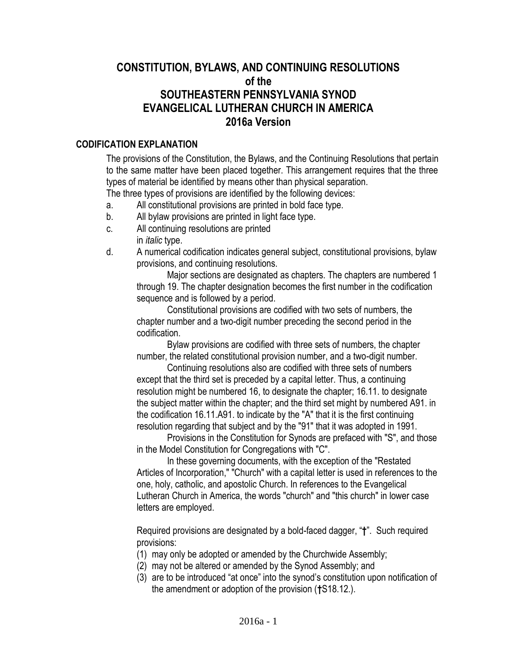# **CONSTITUTION, BYLAWS, AND CONTINUING RESOLUTIONS of the SOUTHEASTERN PENNSYLVANIA SYNOD EVANGELICAL LUTHERAN CHURCH IN AMERICA 2016a Version**

## **CODIFICATION EXPLANATION**

The provisions of the Constitution, the Bylaws, and the Continuing Resolutions that pertain to the same matter have been placed together. This arrangement requires that the three types of material be identified by means other than physical separation. The three types of provisions are identified by the following devices:

- a. All constitutional provisions are printed in bold face type.
- b. All bylaw provisions are printed in light face type.
- c. All continuing resolutions are printed in *italic* type.
- d. A numerical codification indicates general subject, constitutional provisions, bylaw provisions, and continuing resolutions.

Major sections are designated as chapters. The chapters are numbered 1 through 19. The chapter designation becomes the first number in the codification sequence and is followed by a period.

Constitutional provisions are codified with two sets of numbers, the chapter number and a two-digit number preceding the second period in the codification.

Bylaw provisions are codified with three sets of numbers, the chapter number, the related constitutional provision number, and a two-digit number.

Continuing resolutions also are codified with three sets of numbers except that the third set is preceded by a capital letter. Thus, a continuing resolution might be numbered 16, to designate the chapter; 16.11. to designate the subject matter within the chapter; and the third set might by numbered A91. in the codification 16.11.A91. to indicate by the "A" that it is the first continuing resolution regarding that subject and by the "91" that it was adopted in 1991.

Provisions in the Constitution for Synods are prefaced with "S", and those in the Model Constitution for Congregations with "C".

In these governing documents, with the exception of the "Restated Articles of Incorporation," "Church" with a capital letter is used in references to the one, holy, catholic, and apostolic Church. In references to the Evangelical Lutheran Church in America, the words "church" and "this church" in lower case letters are employed.

Required provisions are designated by a bold-faced dagger, "**†**". Such required provisions:

- (1) may only be adopted or amended by the Churchwide Assembly;
- (2) may not be altered or amended by the Synod Assembly; and
- (3) are to be introduced "at once" into the synod's constitution upon notification of the amendment or adoption of the provision (**†**S18.12.).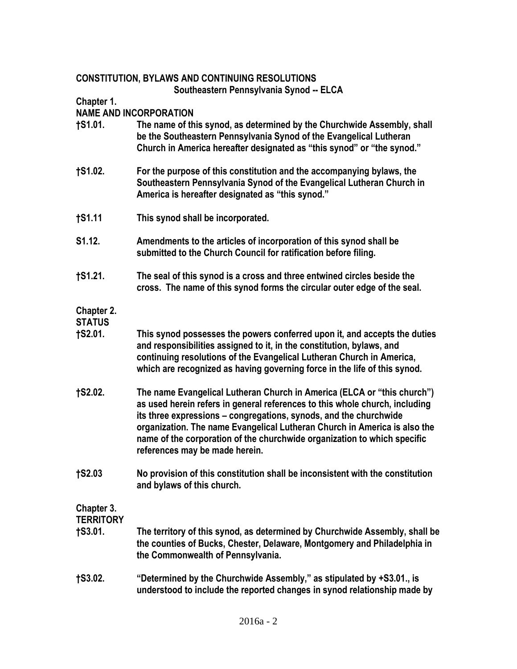#### **CONSTITUTION, BYLAWS AND CONTINUING RESOLUTIONS Southeastern Pennsylvania Synod -- ELCA**

**Chapter 1.**

#### **NAME AND INCORPORATION**

- **†S1.01. The name of this synod, as determined by the Churchwide Assembly, shall be the Southeastern Pennsylvania Synod of the Evangelical Lutheran Church in America hereafter designated as "this synod" or "the synod." †S1.02. For the purpose of this constitution and the accompanying bylaws, the**
- **Southeastern Pennsylvania Synod of the Evangelical Lutheran Church in America is hereafter designated as "this synod."**
- **†S1.11 This synod shall be incorporated.**
- **S1.12. Amendments to the articles of incorporation of this synod shall be submitted to the Church Council for ratification before filing.**
- **†S1.21. The seal of this synod is a cross and three entwined circles beside the cross. The name of this synod forms the circular outer edge of the seal.**

# **Chapter 2.**

## **STATUS**

- **†S2.01. This synod possesses the powers conferred upon it, and accepts the duties and responsibilities assigned to it, in the constitution, bylaws, and continuing resolutions of the Evangelical Lutheran Church in America, which are recognized as having governing force in the life of this synod.**
- **†S2.02. The name Evangelical Lutheran Church in America (ELCA or "this church") as used herein refers in general references to this whole church, including its three expressions – congregations, synods, and the churchwide organization. The name Evangelical Lutheran Church in America is also the name of the corporation of the churchwide organization to which specific references may be made herein.**
- **†S2.03 No provision of this constitution shall be inconsistent with the constitution and bylaws of this church.**

# **Chapter 3.**

**TERRITORY**

- **†S3.01. The territory of this synod, as determined by Churchwide Assembly, shall be the counties of Bucks, Chester, Delaware, Montgomery and Philadelphia in the Commonwealth of Pennsylvania.**
- **†S3.02. "Determined by the Churchwide Assembly," as stipulated by +S3.01., is understood to include the reported changes in synod relationship made by**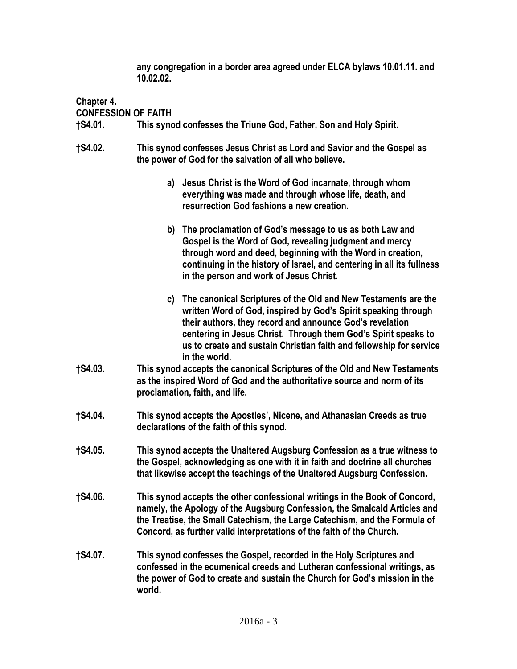**any congregation in a border area agreed under ELCA bylaws 10.01.11. and 10.02.02.**

#### **Chapter 4.**

**CONFESSION OF FAITH**

- **†S4.01. This synod confesses the Triune God, Father, Son and Holy Spirit.**
- **†S4.02. This synod confesses Jesus Christ as Lord and Savior and the Gospel as the power of God for the salvation of all who believe.**
	- **a) Jesus Christ is the Word of God incarnate, through whom everything was made and through whose life, death, and resurrection God fashions a new creation.**
	- **b) The proclamation of God's message to us as both Law and Gospel is the Word of God, revealing judgment and mercy through word and deed, beginning with the Word in creation, continuing in the history of Israel, and centering in all its fullness in the person and work of Jesus Christ.**
	- **c) The canonical Scriptures of the Old and New Testaments are the written Word of God, inspired by God's Spirit speaking through their authors, they record and announce God's revelation centering in Jesus Christ. Through them God's Spirit speaks to us to create and sustain Christian faith and fellowship for service in the world.**
- **†S4.03. This synod accepts the canonical Scriptures of the Old and New Testaments as the inspired Word of God and the authoritative source and norm of its proclamation, faith, and life.**
- **†S4.04. This synod accepts the Apostles', Nicene, and Athanasian Creeds as true declarations of the faith of this synod.**
- **†S4.05. This synod accepts the Unaltered Augsburg Confession as a true witness to the Gospel, acknowledging as one with it in faith and doctrine all churches that likewise accept the teachings of the Unaltered Augsburg Confession.**
- **†S4.06. This synod accepts the other confessional writings in the Book of Concord, namely, the Apology of the Augsburg Confession, the Smalcald Articles and the Treatise, the Small Catechism, the Large Catechism, and the Formula of Concord, as further valid interpretations of the faith of the Church.**
- **†S4.07. This synod confesses the Gospel, recorded in the Holy Scriptures and confessed in the ecumenical creeds and Lutheran confessional writings, as the power of God to create and sustain the Church for God's mission in the world.**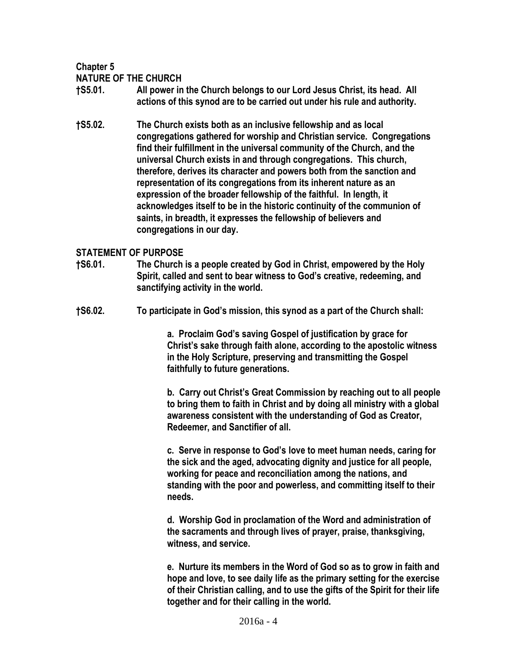# **Chapter 5**

**NATURE OF THE CHURCH**

- **†S5.01. All power in the Church belongs to our Lord Jesus Christ, its head. All actions of this synod are to be carried out under his rule and authority.**
- **†S5.02. The Church exists both as an inclusive fellowship and as local congregations gathered for worship and Christian service. Congregations find their fulfillment in the universal community of the Church, and the universal Church exists in and through congregations. This church, therefore, derives its character and powers both from the sanction and representation of its congregations from its inherent nature as an expression of the broader fellowship of the faithful. In length, it acknowledges itself to be in the historic continuity of the communion of saints, in breadth, it expresses the fellowship of believers and congregations in our day.**

## **STATEMENT OF PURPOSE**

- **†S6.01. The Church is a people created by God in Christ, empowered by the Holy Spirit, called and sent to bear witness to God's creative, redeeming, and sanctifying activity in the world.**
- **†S6.02. To participate in God's mission, this synod as a part of the Church shall:**

**a. Proclaim God's saving Gospel of justification by grace for Christ's sake through faith alone, according to the apostolic witness in the Holy Scripture, preserving and transmitting the Gospel faithfully to future generations.**

**b. Carry out Christ's Great Commission by reaching out to all people to bring them to faith in Christ and by doing all ministry with a global awareness consistent with the understanding of God as Creator, Redeemer, and Sanctifier of all.**

**c. Serve in response to God's love to meet human needs, caring for the sick and the aged, advocating dignity and justice for all people, working for peace and reconciliation among the nations, and standing with the poor and powerless, and committing itself to their needs.**

**d. Worship God in proclamation of the Word and administration of the sacraments and through lives of prayer, praise, thanksgiving, witness, and service.**

**e. Nurture its members in the Word of God so as to grow in faith and hope and love, to see daily life as the primary setting for the exercise of their Christian calling, and to use the gifts of the Spirit for their life together and for their calling in the world.**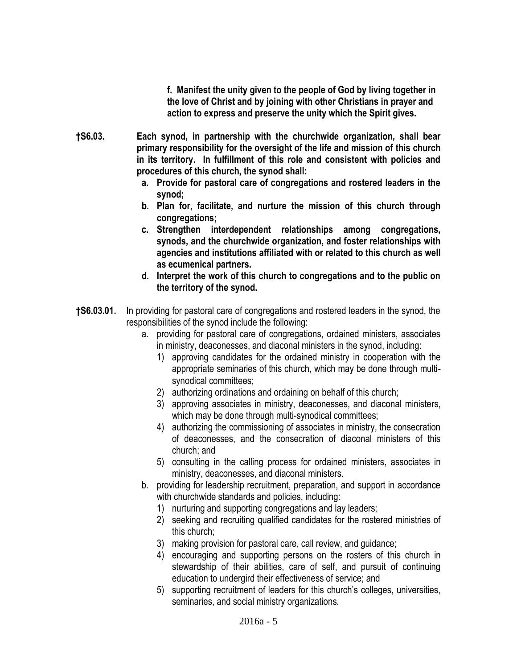**f. Manifest the unity given to the people of God by living together in the love of Christ and by joining with other Christians in prayer and action to express and preserve the unity which the Spirit gives.**

- **†S6.03. Each synod, in partnership with the churchwide organization, shall bear primary responsibility for the oversight of the life and mission of this church in its territory. In fulfillment of this role and consistent with policies and procedures of this church, the synod shall:**
	- **a. Provide for pastoral care of congregations and rostered leaders in the synod;**
	- **b. Plan for, facilitate, and nurture the mission of this church through congregations;**
	- **c. Strengthen interdependent relationships among congregations, synods, and the churchwide organization, and foster relationships with agencies and institutions affiliated with or related to this church as well as ecumenical partners.**
	- **d. Interpret the work of this church to congregations and to the public on the territory of the synod.**
- **†S6.03.01.** In providing for pastoral care of congregations and rostered leaders in the synod, the responsibilities of the synod include the following:
	- a. providing for pastoral care of congregations, ordained ministers, associates in ministry, deaconesses, and diaconal ministers in the synod, including:
		- 1) approving candidates for the ordained ministry in cooperation with the appropriate seminaries of this church, which may be done through multisynodical committees;
		- 2) authorizing ordinations and ordaining on behalf of this church;
		- 3) approving associates in ministry, deaconesses, and diaconal ministers, which may be done through multi-synodical committees;
		- 4) authorizing the commissioning of associates in ministry, the consecration of deaconesses, and the consecration of diaconal ministers of this church; and
		- 5) consulting in the calling process for ordained ministers, associates in ministry, deaconesses, and diaconal ministers.
	- b. providing for leadership recruitment, preparation, and support in accordance with churchwide standards and policies, including:
		- 1) nurturing and supporting congregations and lay leaders;
		- 2) seeking and recruiting qualified candidates for the rostered ministries of this church;
		- 3) making provision for pastoral care, call review, and guidance;
		- 4) encouraging and supporting persons on the rosters of this church in stewardship of their abilities, care of self, and pursuit of continuing education to undergird their effectiveness of service; and
		- 5) supporting recruitment of leaders for this church's colleges, universities, seminaries, and social ministry organizations.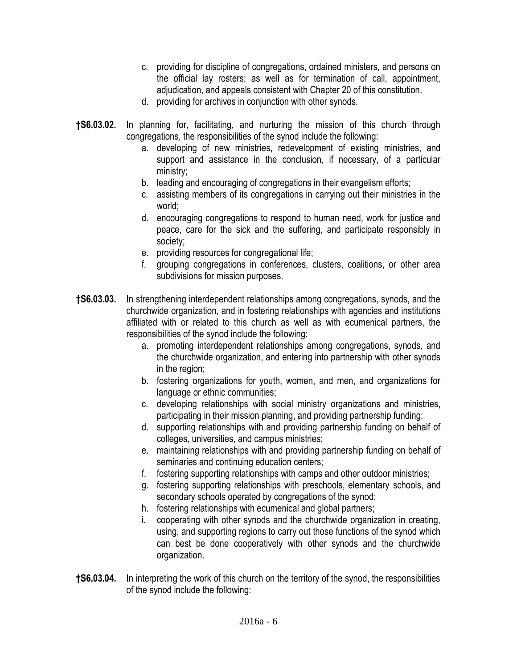- c. providing for discipline of congregations, ordained ministers, and persons on the official lay rosters; as well as for termination of call, appointment, adjudication, and appeals consistent with Chapter 20 of this constitution.
- d. providing for archives in conjunction with other synods.
- **†S6.03.02.** In planning for, facilitating, and nurturing the mission of this church through congregations, the responsibilities of the synod include the following:
	- a. developing of new ministries, redevelopment of existing ministries, and support and assistance in the conclusion, if necessary, of a particular ministry;
	- b. leading and encouraging of congregations in their evangelism efforts;
	- c. assisting members of its congregations in carrying out their ministries in the world;
	- d. encouraging congregations to respond to human need, work for justice and peace, care for the sick and the suffering, and participate responsibly in society;
	- e. providing resources for congregational life;
	- f. grouping congregations in conferences, clusters, coalitions, or other area subdivisions for mission purposes.
- **†S6.03.03.** In strengthening interdependent relationships among congregations, synods, and the churchwide organization, and in fostering relationships with agencies and institutions affiliated with or related to this church as well as with ecumenical partners, the responsibilities of the synod include the following:
	- a. promoting interdependent relationships among congregations, synods, and the churchwide organization, and entering into partnership with other synods in the region;
	- b. fostering organizations for youth, women, and men, and organizations for language or ethnic communities;
	- c. developing relationships with social ministry organizations and ministries, participating in their mission planning, and providing partnership funding;
	- d. supporting relationships with and providing partnership funding on behalf of colleges, universities, and campus ministries;
	- e. maintaining relationships with and providing partnership funding on behalf of seminaries and continuing education centers;
	- f. fostering supporting relationships with camps and other outdoor ministries;
	- g. fostering supporting relationships with preschools, elementary schools, and secondary schools operated by congregations of the synod;
	- h. fostering relationships with ecumenical and global partners;
	- i. cooperating with other synods and the churchwide organization in creating, using, and supporting regions to carry out those functions of the synod which can best be done cooperatively with other synods and the churchwide organization.
- **†S6.03.04.** In interpreting the work of this church on the territory of the synod, the responsibilities of the synod include the following: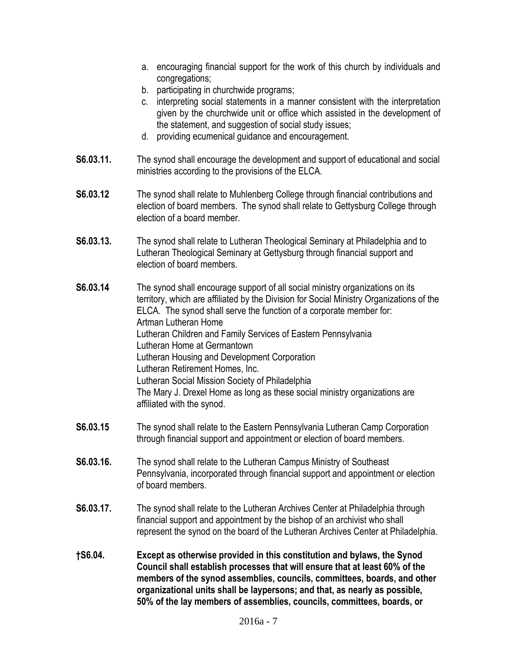- a. encouraging financial support for the work of this church by individuals and congregations;
- b. participating in churchwide programs;
- c. interpreting social statements in a manner consistent with the interpretation given by the churchwide unit or office which assisted in the development of the statement, and suggestion of social study issues;
- d. providing ecumenical guidance and encouragement.
- **S6.03.11.** The synod shall encourage the development and support of educational and social ministries according to the provisions of the ELCA.
- **S6.03.12** The synod shall relate to Muhlenberg College through financial contributions and election of board members. The synod shall relate to Gettysburg College through election of a board member.
- **S6.03.13.** The synod shall relate to Lutheran Theological Seminary at Philadelphia and to Lutheran Theological Seminary at Gettysburg through financial support and election of board members.
- **S6.03.14** The synod shall encourage support of all social ministry organizations on its territory, which are affiliated by the Division for Social Ministry Organizations of the ELCA. The synod shall serve the function of a corporate member for: Artman Lutheran Home Lutheran Children and Family Services of Eastern Pennsylvania Lutheran Home at Germantown Lutheran Housing and Development Corporation Lutheran Retirement Homes, Inc. Lutheran Social Mission Society of Philadelphia The Mary J. Drexel Home as long as these social ministry organizations are affiliated with the synod.
- **S6.03.15** The synod shall relate to the Eastern Pennsylvania Lutheran Camp Corporation through financial support and appointment or election of board members.
- **S6.03.16.** The synod shall relate to the Lutheran Campus Ministry of Southeast Pennsylvania, incorporated through financial support and appointment or election of board members.
- **S6.03.17.** The synod shall relate to the Lutheran Archives Center at Philadelphia through financial support and appointment by the bishop of an archivist who shall represent the synod on the board of the Lutheran Archives Center at Philadelphia.
- **†S6.04. Except as otherwise provided in this constitution and bylaws, the Synod Council shall establish processes that will ensure that at least 60% of the members of the synod assemblies, councils, committees, boards, and other organizational units shall be laypersons; and that, as nearly as possible, 50% of the lay members of assemblies, councils, committees, boards, or**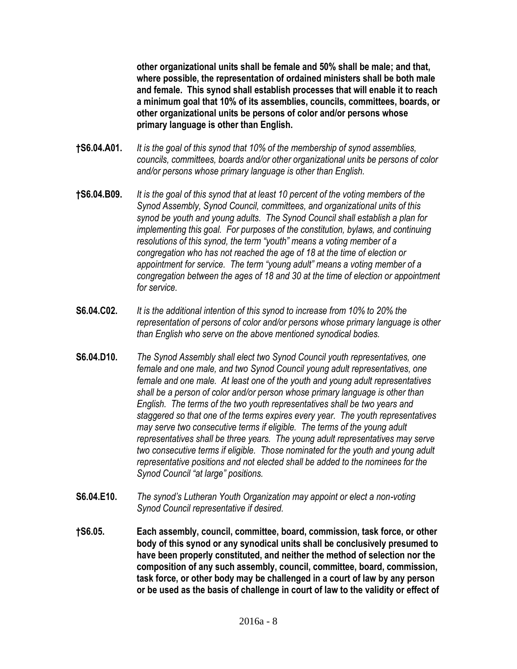**other organizational units shall be female and 50% shall be male; and that, where possible, the representation of ordained ministers shall be both male and female. This synod shall establish processes that will enable it to reach a minimum goal that 10% of its assemblies, councils, committees, boards, or other organizational units be persons of color and/or persons whose primary language is other than English.**

- **†S6.04.A01.** *It is the goal of this synod that 10% of the membership of synod assemblies, councils, committees, boards and/or other organizational units be persons of color and/or persons whose primary language is other than English.*
- **†S6.04.B09.** *It is the goal of this synod that at least 10 percent of the voting members of the Synod Assembly, Synod Council, committees, and organizational units of this synod be youth and young adults. The Synod Council shall establish a plan for implementing this goal. For purposes of the constitution, bylaws, and continuing resolutions of this synod, the term "youth" means a voting member of a congregation who has not reached the age of 18 at the time of election or appointment for service. The term "young adult" means a voting member of a congregation between the ages of 18 and 30 at the time of election or appointment for service.*
- **S6.04.C02.** *It is the additional intention of this synod to increase from 10% to 20% the representation of persons of color and/or persons whose primary language is other than English who serve on the above mentioned synodical bodies.*
- **S6.04.D10.** *The Synod Assembly shall elect two Synod Council youth representatives, one female and one male, and two Synod Council young adult representatives, one female and one male. At least one of the youth and young adult representatives shall be a person of color and/or person whose primary language is other than English. The terms of the two youth representatives shall be two years and staggered so that one of the terms expires every year. The youth representatives may serve two consecutive terms if eligible. The terms of the young adult representatives shall be three years. The young adult representatives may serve two consecutive terms if eligible. Those nominated for the youth and young adult representative positions and not elected shall be added to the nominees for the Synod Council "at large" positions.*
- **S6.04.E10.** *The synod's Lutheran Youth Organization may appoint or elect a non-voting Synod Council representative if desired.*
- **†S6.05. Each assembly, council, committee, board, commission, task force, or other body of this synod or any synodical units shall be conclusively presumed to have been properly constituted, and neither the method of selection nor the composition of any such assembly, council, committee, board, commission, task force, or other body may be challenged in a court of law by any person or be used as the basis of challenge in court of law to the validity or effect of**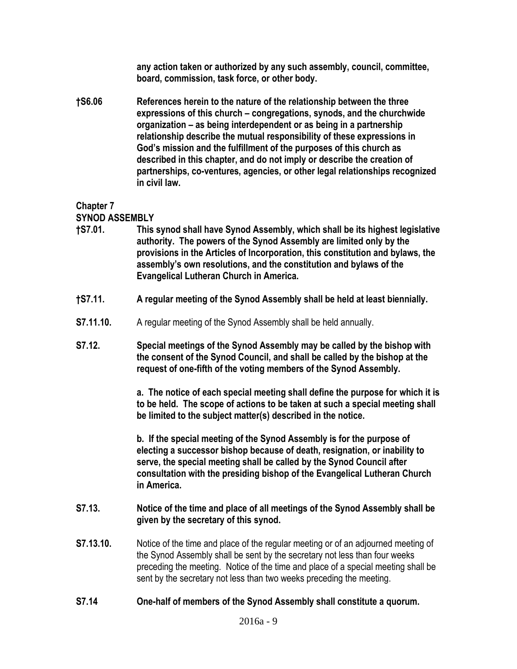**any action taken or authorized by any such assembly, council, committee, board, commission, task force, or other body.**

**†S6.06 References herein to the nature of the relationship between the three expressions of this church – congregations, synods, and the churchwide organization – as being interdependent or as being in a partnership relationship describe the mutual responsibility of these expressions in God's mission and the fulfillment of the purposes of this church as described in this chapter, and do not imply or describe the creation of partnerships, co-ventures, agencies, or other legal relationships recognized in civil law.**

# **Chapter 7**

## **SYNOD ASSEMBLY**

- **†S7.01. This synod shall have Synod Assembly, which shall be its highest legislative authority. The powers of the Synod Assembly are limited only by the provisions in the Articles of Incorporation, this constitution and bylaws, the assembly's own resolutions, and the constitution and bylaws of the Evangelical Lutheran Church in America.**
- **†S7.11. A regular meeting of the Synod Assembly shall be held at least biennially.**
- **S7.11.10.** A regular meeting of the Synod Assembly shall be held annually.
- **S7.12. Special meetings of the Synod Assembly may be called by the bishop with the consent of the Synod Council, and shall be called by the bishop at the request of one-fifth of the voting members of the Synod Assembly.**

**a. The notice of each special meeting shall define the purpose for which it is to be held. The scope of actions to be taken at such a special meeting shall be limited to the subject matter(s) described in the notice.**

**b. If the special meeting of the Synod Assembly is for the purpose of electing a successor bishop because of death, resignation, or inability to serve, the special meeting shall be called by the Synod Council after consultation with the presiding bishop of the Evangelical Lutheran Church in America.**

- **S7.13. Notice of the time and place of all meetings of the Synod Assembly shall be given by the secretary of this synod.**
- **S7.13.10.** Notice of the time and place of the regular meeting or of an adjourned meeting of the Synod Assembly shall be sent by the secretary not less than four weeks preceding the meeting. Notice of the time and place of a special meeting shall be sent by the secretary not less than two weeks preceding the meeting.
- **S7.14 One-half of members of the Synod Assembly shall constitute a quorum.**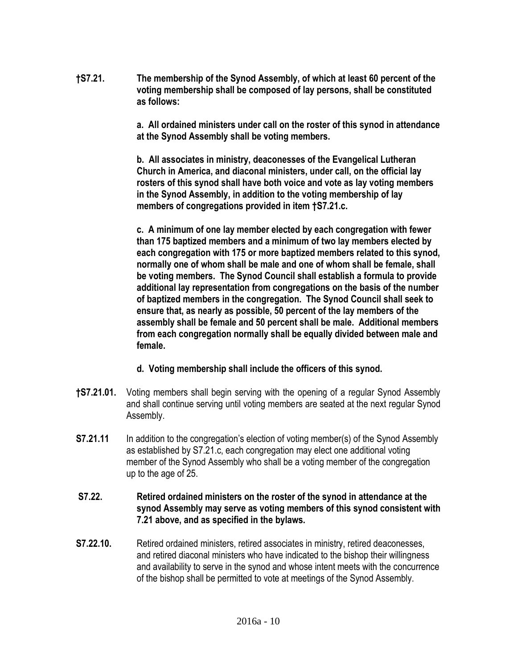**†S7.21. The membership of the Synod Assembly, of which at least 60 percent of the voting membership shall be composed of lay persons, shall be constituted as follows:**

> **a. All ordained ministers under call on the roster of this synod in attendance at the Synod Assembly shall be voting members.**

**b. All associates in ministry, deaconesses of the Evangelical Lutheran Church in America, and diaconal ministers, under call, on the official lay rosters of this synod shall have both voice and vote as lay voting members in the Synod Assembly, in addition to the voting membership of lay members of congregations provided in item †S7.21.c.**

**c. A minimum of one lay member elected by each congregation with fewer than 175 baptized members and a minimum of two lay members elected by each congregation with 175 or more baptized members related to this synod, normally one of whom shall be male and one of whom shall be female, shall be voting members. The Synod Council shall establish a formula to provide additional lay representation from congregations on the basis of the number of baptized members in the congregation. The Synod Council shall seek to ensure that, as nearly as possible, 50 percent of the lay members of the assembly shall be female and 50 percent shall be male. Additional members from each congregation normally shall be equally divided between male and female.**

- **d. Voting membership shall include the officers of this synod.**
- **†S7.21.01.** Voting members shall begin serving with the opening of a regular Synod Assembly and shall continue serving until voting members are seated at the next regular Synod Assembly.
- **S7.21.11** In addition to the congregation's election of voting member(s) of the Synod Assembly as established by S7.21.c, each congregation may elect one additional voting member of the Synod Assembly who shall be a voting member of the congregation up to the age of 25.
- **S7.22. Retired ordained ministers on the roster of the synod in attendance at the synod Assembly may serve as voting members of this synod consistent with 7.21 above, and as specified in the bylaws.**
- **S7.22.10.** Retired ordained ministers, retired associates in ministry, retired deaconesses, and retired diaconal ministers who have indicated to the bishop their willingness and availability to serve in the synod and whose intent meets with the concurrence of the bishop shall be permitted to vote at meetings of the Synod Assembly.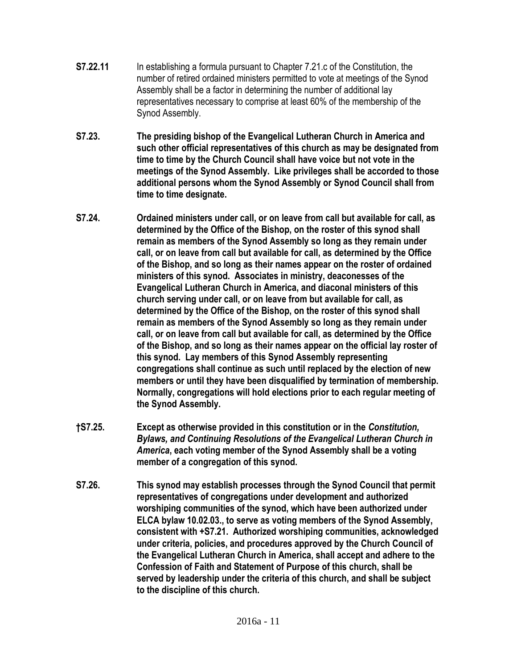- **S7.22.11** In establishing a formula pursuant to Chapter 7.21.c of the Constitution, the number of retired ordained ministers permitted to vote at meetings of the Synod Assembly shall be a factor in determining the number of additional lay representatives necessary to comprise at least 60% of the membership of the Synod Assembly.
- **S7.23. The presiding bishop of the Evangelical Lutheran Church in America and such other official representatives of this church as may be designated from time to time by the Church Council shall have voice but not vote in the meetings of the Synod Assembly. Like privileges shall be accorded to those additional persons whom the Synod Assembly or Synod Council shall from time to time designate.**
- **S7.24. Ordained ministers under call, or on leave from call but available for call, as determined by the Office of the Bishop, on the roster of this synod shall remain as members of the Synod Assembly so long as they remain under call, or on leave from call but available for call, as determined by the Office of the Bishop, and so long as their names appear on the roster of ordained ministers of this synod. Associates in ministry, deaconesses of the Evangelical Lutheran Church in America, and diaconal ministers of this church serving under call, or on leave from but available for call, as determined by the Office of the Bishop, on the roster of this synod shall remain as members of the Synod Assembly so long as they remain under call, or on leave from call but available for call, as determined by the Office of the Bishop, and so long as their names appear on the official lay roster of this synod. Lay members of this Synod Assembly representing congregations shall continue as such until replaced by the election of new members or until they have been disqualified by termination of membership. Normally, congregations will hold elections prior to each regular meeting of the Synod Assembly.**
- **†S7.25. Except as otherwise provided in this constitution or in the** *Constitution, Bylaws, and Continuing Resolutions of the Evangelical Lutheran Church in America***, each voting member of the Synod Assembly shall be a voting member of a congregation of this synod.**
- **S7.26. This synod may establish processes through the Synod Council that permit representatives of congregations under development and authorized worshiping communities of the synod, which have been authorized under ELCA bylaw 10.02.03., to serve as voting members of the Synod Assembly, consistent with +S7.21. Authorized worshiping communities, acknowledged under criteria, policies, and procedures approved by the Church Council of the Evangelical Lutheran Church in America, shall accept and adhere to the Confession of Faith and Statement of Purpose of this church, shall be served by leadership under the criteria of this church, and shall be subject to the discipline of this church.**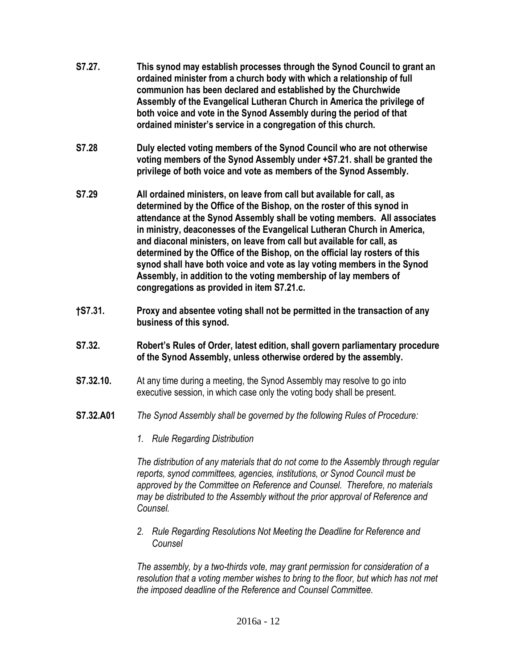- **S7.27. This synod may establish processes through the Synod Council to grant an ordained minister from a church body with which a relationship of full communion has been declared and established by the Churchwide Assembly of the Evangelical Lutheran Church in America the privilege of both voice and vote in the Synod Assembly during the period of that ordained minister's service in a congregation of this church.**
- **S7.28 Duly elected voting members of the Synod Council who are not otherwise voting members of the Synod Assembly under +S7.21. shall be granted the privilege of both voice and vote as members of the Synod Assembly.**
- **S7.29 All ordained ministers, on leave from call but available for call, as determined by the Office of the Bishop, on the roster of this synod in attendance at the Synod Assembly shall be voting members. All associates in ministry, deaconesses of the Evangelical Lutheran Church in America, and diaconal ministers, on leave from call but available for call, as determined by the Office of the Bishop, on the official lay rosters of this synod shall have both voice and vote as lay voting members in the Synod Assembly, in addition to the voting membership of lay members of congregations as provided in item S7.21.c.**
- **†S7.31. Proxy and absentee voting shall not be permitted in the transaction of any business of this synod.**
- **S7.32. Robert's Rules of Order, latest edition, shall govern parliamentary procedure of the Synod Assembly, unless otherwise ordered by the assembly.**
- **S7.32.10.** At any time during a meeting, the Synod Assembly may resolve to go into executive session, in which case only the voting body shall be present.
- **S7.32.A01** *The Synod Assembly shall be governed by the following Rules of Procedure:*
	- *1. Rule Regarding Distribution*

*The distribution of any materials that do not come to the Assembly through regular reports, synod committees, agencies, institutions, or Synod Council must be approved by the Committee on Reference and Counsel. Therefore, no materials may be distributed to the Assembly without the prior approval of Reference and Counsel.*

*2. Rule Regarding Resolutions Not Meeting the Deadline for Reference and Counsel*

*The assembly, by a two-thirds vote, may grant permission for consideration of a resolution that a voting member wishes to bring to the floor, but which has not met the imposed deadline of the Reference and Counsel Committee.*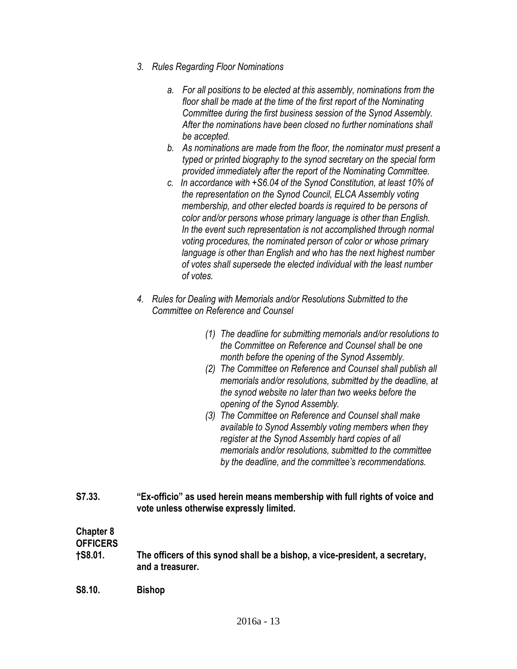- *3. Rules Regarding Floor Nominations*
	- *a. For all positions to be elected at this assembly, nominations from the floor shall be made at the time of the first report of the Nominating Committee during the first business session of the Synod Assembly. After the nominations have been closed no further nominations shall be accepted.*
	- *b. As nominations are made from the floor, the nominator must present a typed or printed biography to the synod secretary on the special form provided immediately after the report of the Nominating Committee.*
	- *c. In accordance with +S6.04 of the Synod Constitution, at least 10% of the representation on the Synod Council, ELCA Assembly voting membership, and other elected boards is required to be persons of color and/or persons whose primary language is other than English. In the event such representation is not accomplished through normal voting procedures, the nominated person of color or whose primary language is other than English and who has the next highest number of votes shall supersede the elected individual with the least number of votes.*
- *4. Rules for Dealing with Memorials and/or Resolutions Submitted to the Committee on Reference and Counsel*
	- *(1) The deadline for submitting memorials and/or resolutions to the Committee on Reference and Counsel shall be one month before the opening of the Synod Assembly.*
	- *(2) The Committee on Reference and Counsel shall publish all memorials and/or resolutions, submitted by the deadline, at the synod website no later than two weeks before the opening of the Synod Assembly.*
	- *(3) The Committee on Reference and Counsel shall make available to Synod Assembly voting members when they register at the Synod Assembly hard copies of all memorials and/or resolutions, submitted to the committee by the deadline, and the committee's recommendations.*
- **S7.33. "Ex-officio" as used herein means membership with full rights of voice and vote unless otherwise expressly limited.**

#### **Chapter 8 OFFICERS**

- **†S8.01. The officers of this synod shall be a bishop, a vice-president, a secretary, and a treasurer.**
- **S8.10. Bishop**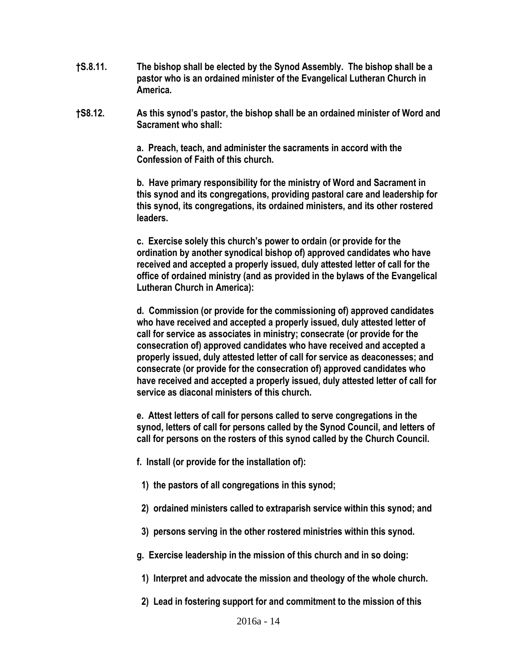- **†S.8.11. The bishop shall be elected by the Synod Assembly. The bishop shall be a pastor who is an ordained minister of the Evangelical Lutheran Church in America.**
- **†S8.12. As this synod's pastor, the bishop shall be an ordained minister of Word and Sacrament who shall:**

**a. Preach, teach, and administer the sacraments in accord with the Confession of Faith of this church.**

**b. Have primary responsibility for the ministry of Word and Sacrament in this synod and its congregations, providing pastoral care and leadership for this synod, its congregations, its ordained ministers, and its other rostered leaders.**

**c. Exercise solely this church's power to ordain (or provide for the ordination by another synodical bishop of) approved candidates who have received and accepted a properly issued, duly attested letter of call for the office of ordained ministry (and as provided in the bylaws of the Evangelical Lutheran Church in America):**

**d. Commission (or provide for the commissioning of) approved candidates who have received and accepted a properly issued, duly attested letter of call for service as associates in ministry; consecrate (or provide for the consecration of) approved candidates who have received and accepted a properly issued, duly attested letter of call for service as deaconesses; and consecrate (or provide for the consecration of) approved candidates who have received and accepted a properly issued, duly attested letter of call for service as diaconal ministers of this church.**

**e. Attest letters of call for persons called to serve congregations in the synod, letters of call for persons called by the Synod Council, and letters of call for persons on the rosters of this synod called by the Church Council.**

**f. Install (or provide for the installation of):**

- **1) the pastors of all congregations in this synod;**
- **2) ordained ministers called to extraparish service within this synod; and**
- **3) persons serving in the other rostered ministries within this synod.**
- **g. Exercise leadership in the mission of this church and in so doing:**
	- **1) Interpret and advocate the mission and theology of the whole church.**
	- **2) Lead in fostering support for and commitment to the mission of this**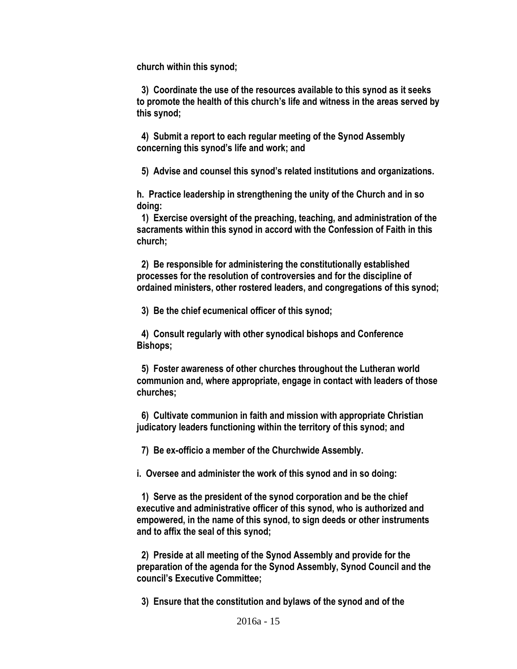**church within this synod;**

 **3) Coordinate the use of the resources available to this synod as it seeks to promote the health of this church's life and witness in the areas served by this synod;**

 **4) Submit a report to each regular meeting of the Synod Assembly concerning this synod's life and work; and**

 **5) Advise and counsel this synod's related institutions and organizations.**

**h. Practice leadership in strengthening the unity of the Church and in so doing:**

 **1) Exercise oversight of the preaching, teaching, and administration of the sacraments within this synod in accord with the Confession of Faith in this church;**

 **2) Be responsible for administering the constitutionally established processes for the resolution of controversies and for the discipline of ordained ministers, other rostered leaders, and congregations of this synod;**

 **3) Be the chief ecumenical officer of this synod;**

 **4) Consult regularly with other synodical bishops and Conference Bishops;**

 **5) Foster awareness of other churches throughout the Lutheran world communion and, where appropriate, engage in contact with leaders of those churches;**

 **6) Cultivate communion in faith and mission with appropriate Christian judicatory leaders functioning within the territory of this synod; and**

 **7) Be ex-officio a member of the Churchwide Assembly.**

**i. Oversee and administer the work of this synod and in so doing:**

 **1) Serve as the president of the synod corporation and be the chief executive and administrative officer of this synod, who is authorized and empowered, in the name of this synod, to sign deeds or other instruments and to affix the seal of this synod;**

 **2) Preside at all meeting of the Synod Assembly and provide for the preparation of the agenda for the Synod Assembly, Synod Council and the council's Executive Committee;**

 **3) Ensure that the constitution and bylaws of the synod and of the**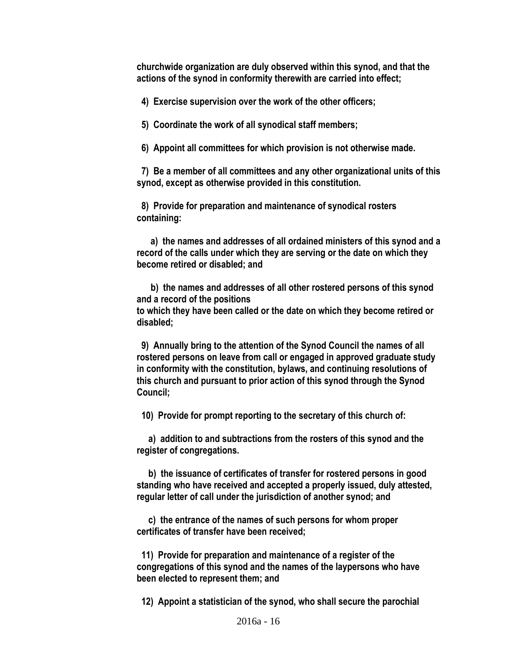**churchwide organization are duly observed within this synod, and that the actions of the synod in conformity therewith are carried into effect;**

 **4) Exercise supervision over the work of the other officers;**

 **5) Coordinate the work of all synodical staff members;**

 **6) Appoint all committees for which provision is not otherwise made.**

 **7) Be a member of all committees and any other organizational units of this synod, except as otherwise provided in this constitution.**

 **8) Provide for preparation and maintenance of synodical rosters containing:**

 **a) the names and addresses of all ordained ministers of this synod and a record of the calls under which they are serving or the date on which they become retired or disabled; and**

 **b) the names and addresses of all other rostered persons of this synod and a record of the positions to which they have been called or the date on which they become retired or disabled;**

 **9) Annually bring to the attention of the Synod Council the names of all rostered persons on leave from call or engaged in approved graduate study in conformity with the constitution, bylaws, and continuing resolutions of this church and pursuant to prior action of this synod through the Synod Council;**

 **10) Provide for prompt reporting to the secretary of this church of:**

 **a) addition to and subtractions from the rosters of this synod and the register of congregations.**

 **b) the issuance of certificates of transfer for rostered persons in good standing who have received and accepted a properly issued, duly attested, regular letter of call under the jurisdiction of another synod; and**

 **c) the entrance of the names of such persons for whom proper certificates of transfer have been received;**

 **11) Provide for preparation and maintenance of a register of the congregations of this synod and the names of the laypersons who have been elected to represent them; and**

 **12) Appoint a statistician of the synod, who shall secure the parochial**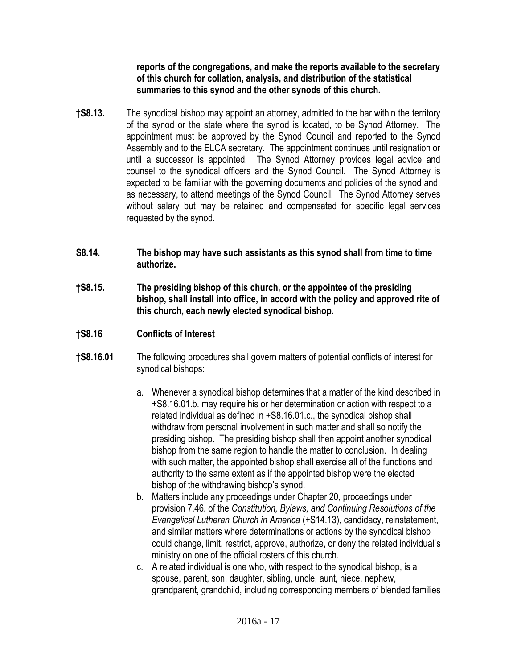**reports of the congregations, and make the reports available to the secretary of this church for collation, analysis, and distribution of the statistical summaries to this synod and the other synods of this church.**

- **†S8.13.** The synodical bishop may appoint an attorney, admitted to the bar within the territory of the synod or the state where the synod is located, to be Synod Attorney. The appointment must be approved by the Synod Council and reported to the Synod Assembly and to the ELCA secretary. The appointment continues until resignation or until a successor is appointed. The Synod Attorney provides legal advice and counsel to the synodical officers and the Synod Council. The Synod Attorney is expected to be familiar with the governing documents and policies of the synod and, as necessary, to attend meetings of the Synod Council. The Synod Attorney serves without salary but may be retained and compensated for specific legal services requested by the synod.
- **S8.14. The bishop may have such assistants as this synod shall from time to time authorize.**
- **†S8.15. The presiding bishop of this church, or the appointee of the presiding bishop, shall install into office, in accord with the policy and approved rite of this church, each newly elected synodical bishop.**
- **†S8.16 Conflicts of Interest**
- **†S8.16.01** The following procedures shall govern matters of potential conflicts of interest for synodical bishops:
	- a. Whenever a synodical bishop determines that a matter of the kind described in +S8.16.01.b. may require his or her determination or action with respect to a related individual as defined in +S8.16.01.c., the synodical bishop shall withdraw from personal involvement in such matter and shall so notify the presiding bishop. The presiding bishop shall then appoint another synodical bishop from the same region to handle the matter to conclusion. In dealing with such matter, the appointed bishop shall exercise all of the functions and authority to the same extent as if the appointed bishop were the elected bishop of the withdrawing bishop's synod.
	- b. Matters include any proceedings under Chapter 20, proceedings under provision 7.46. of the *Constitution, Bylaws, and Continuing Resolutions of the Evangelical Lutheran Church in America* (+S14.13), candidacy, reinstatement, and similar matters where determinations or actions by the synodical bishop could change, limit, restrict, approve, authorize, or deny the related individual's ministry on one of the official rosters of this church.
	- c. A related individual is one who, with respect to the synodical bishop, is a spouse, parent, son, daughter, sibling, uncle, aunt, niece, nephew, grandparent, grandchild, including corresponding members of blended families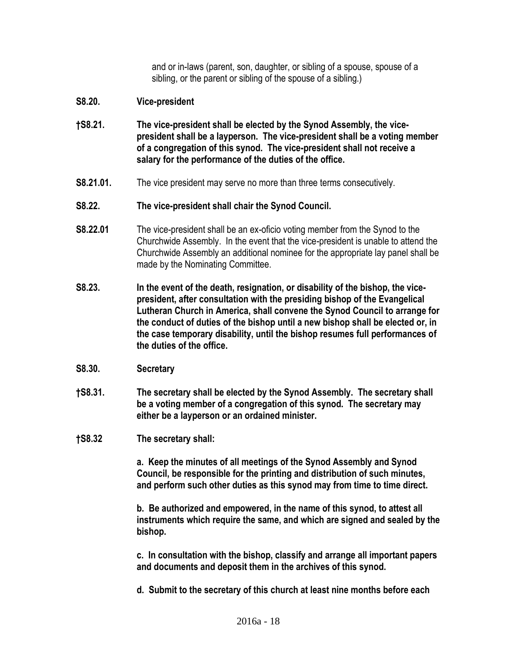and or in-laws (parent, son, daughter, or sibling of a spouse, spouse of a sibling, or the parent or sibling of the spouse of a sibling.)

# **S8.20. Vice-president**

- **†S8.21. The vice-president shall be elected by the Synod Assembly, the vicepresident shall be a layperson. The vice-president shall be a voting member of a congregation of this synod. The vice-president shall not receive a salary for the performance of the duties of the office.**
- **S8.21.01.** The vice president may serve no more than three terms consecutively.
- **S8.22. The vice-president shall chair the Synod Council.**
- **S8.22.01** The vice-president shall be an ex-oficio voting member from the Synod to the Churchwide Assembly. In the event that the vice-president is unable to attend the Churchwide Assembly an additional nominee for the appropriate lay panel shall be made by the Nominating Committee.
- **S8.23. In the event of the death, resignation, or disability of the bishop, the vicepresident, after consultation with the presiding bishop of the Evangelical Lutheran Church in America, shall convene the Synod Council to arrange for the conduct of duties of the bishop until a new bishop shall be elected or, in the case temporary disability, until the bishop resumes full performances of the duties of the office.**
- **S8.30. Secretary**
- **†S8.31. The secretary shall be elected by the Synod Assembly. The secretary shall be a voting member of a congregation of this synod. The secretary may either be a layperson or an ordained minister.**
- **†S8.32 The secretary shall:**

**a. Keep the minutes of all meetings of the Synod Assembly and Synod Council, be responsible for the printing and distribution of such minutes, and perform such other duties as this synod may from time to time direct.**

**b. Be authorized and empowered, in the name of this synod, to attest all instruments which require the same, and which are signed and sealed by the bishop.**

**c. In consultation with the bishop, classify and arrange all important papers and documents and deposit them in the archives of this synod.**

**d. Submit to the secretary of this church at least nine months before each**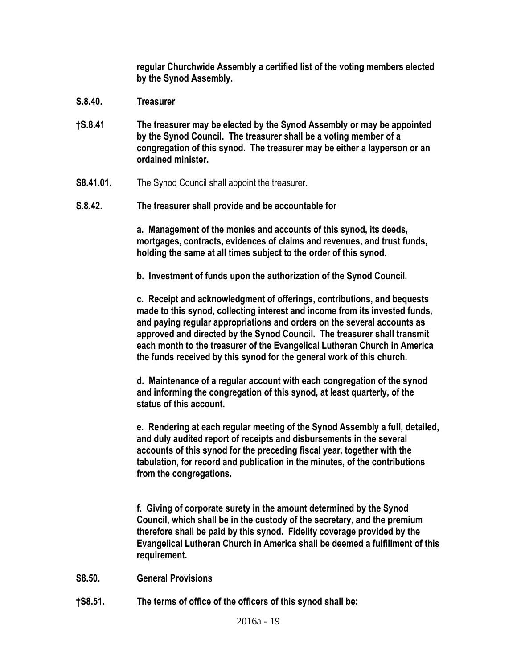**regular Churchwide Assembly a certified list of the voting members elected by the Synod Assembly.**

- **S.8.40. Treasurer**
- **†S.8.41 The treasurer may be elected by the Synod Assembly or may be appointed by the Synod Council. The treasurer shall be a voting member of a congregation of this synod. The treasurer may be either a layperson or an ordained minister.**
- **S8.41.01.** The Synod Council shall appoint the treasurer.
- **S.8.42. The treasurer shall provide and be accountable for**

**a. Management of the monies and accounts of this synod, its deeds, mortgages, contracts, evidences of claims and revenues, and trust funds, holding the same at all times subject to the order of this synod.**

**b. Investment of funds upon the authorization of the Synod Council.**

**c. Receipt and acknowledgment of offerings, contributions, and bequests made to this synod, collecting interest and income from its invested funds, and paying regular appropriations and orders on the several accounts as approved and directed by the Synod Council. The treasurer shall transmit each month to the treasurer of the Evangelical Lutheran Church in America the funds received by this synod for the general work of this church.**

**d. Maintenance of a regular account with each congregation of the synod and informing the congregation of this synod, at least quarterly, of the status of this account.**

**e. Rendering at each regular meeting of the Synod Assembly a full, detailed, and duly audited report of receipts and disbursements in the several accounts of this synod for the preceding fiscal year, together with the tabulation, for record and publication in the minutes, of the contributions from the congregations.**

**f. Giving of corporate surety in the amount determined by the Synod Council, which shall be in the custody of the secretary, and the premium therefore shall be paid by this synod. Fidelity coverage provided by the Evangelical Lutheran Church in America shall be deemed a fulfillment of this requirement.**

- **S8.50. General Provisions**
- **†S8.51. The terms of office of the officers of this synod shall be:**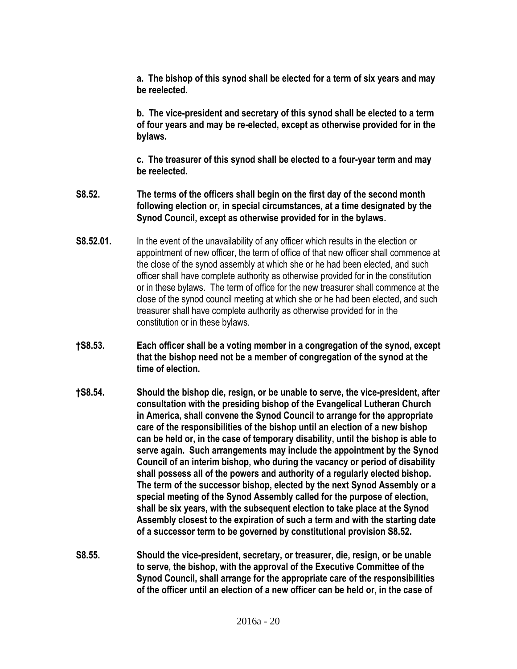**a. The bishop of this synod shall be elected for a term of six years and may be reelected.**

**b. The vice-president and secretary of this synod shall be elected to a term of four years and may be re-elected, except as otherwise provided for in the bylaws.**

**c. The treasurer of this synod shall be elected to a four-year term and may be reelected.**

- **S8.52. The terms of the officers shall begin on the first day of the second month following election or, in special circumstances, at a time designated by the Synod Council, except as otherwise provided for in the bylaws.**
- **S8.52.01.** In the event of the unavailability of any officer which results in the election or appointment of new officer, the term of office of that new officer shall commence at the close of the synod assembly at which she or he had been elected, and such officer shall have complete authority as otherwise provided for in the constitution or in these bylaws. The term of office for the new treasurer shall commence at the close of the synod council meeting at which she or he had been elected, and such treasurer shall have complete authority as otherwise provided for in the constitution or in these bylaws.
- **†S8.53. Each officer shall be a voting member in a congregation of the synod, except that the bishop need not be a member of congregation of the synod at the time of election.**
- **†S8.54. Should the bishop die, resign, or be unable to serve, the vice-president, after consultation with the presiding bishop of the Evangelical Lutheran Church in America, shall convene the Synod Council to arrange for the appropriate care of the responsibilities of the bishop until an election of a new bishop can be held or, in the case of temporary disability, until the bishop is able to serve again. Such arrangements may include the appointment by the Synod Council of an interim bishop, who during the vacancy or period of disability shall possess all of the powers and authority of a regularly elected bishop. The term of the successor bishop, elected by the next Synod Assembly or a special meeting of the Synod Assembly called for the purpose of election, shall be six years, with the subsequent election to take place at the Synod Assembly closest to the expiration of such a term and with the starting date of a successor term to be governed by constitutional provision S8.52.**
- **S8.55. Should the vice-president, secretary, or treasurer, die, resign, or be unable to serve, the bishop, with the approval of the Executive Committee of the Synod Council, shall arrange for the appropriate care of the responsibilities of the officer until an election of a new officer can be held or, in the case of**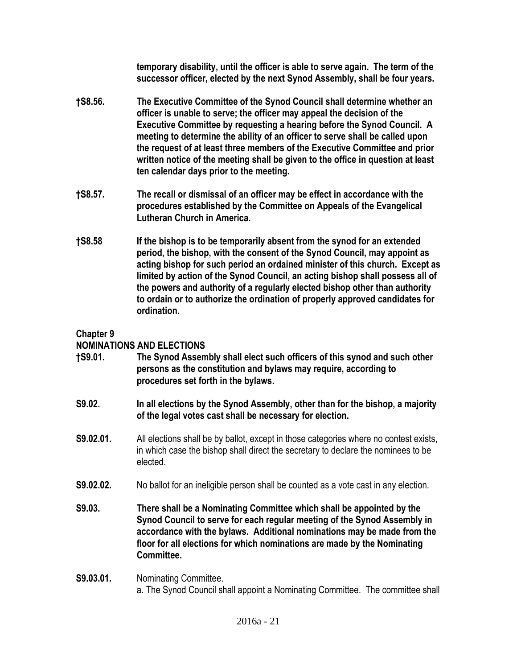**temporary disability, until the officer is able to serve again. The term of the successor officer, elected by the next Synod Assembly, shall be four years.**

- **†S8.56. The Executive Committee of the Synod Council shall determine whether an officer is unable to serve; the officer may appeal the decision of the Executive Committee by requesting a hearing before the Synod Council. A meeting to determine the ability of an officer to serve shall be called upon the request of at least three members of the Executive Committee and prior written notice of the meeting shall be given to the office in question at least ten calendar days prior to the meeting.**
- **†S8.57. The recall or dismissal of an officer may be effect in accordance with the procedures established by the Committee on Appeals of the Evangelical Lutheran Church in America.**
- **†S8.58 If the bishop is to be temporarily absent from the synod for an extended period, the bishop, with the consent of the Synod Council, may appoint as acting bishop for such period an ordained minister of this church. Except as limited by action of the Synod Council, an acting bishop shall possess all of the powers and authority of a regularly elected bishop other than authority to ordain or to authorize the ordination of properly approved candidates for ordination.**

# **Chapter 9**

# **NOMINATIONS AND ELECTIONS**

- **†S9.01. The Synod Assembly shall elect such officers of this synod and such other persons as the constitution and bylaws may require, according to procedures set forth in the bylaws.**
- **S9.02. In all elections by the Synod Assembly, other than for the bishop, a majority of the legal votes cast shall be necessary for election.**
- **S9.02.01.** All elections shall be by ballot, except in those categories where no contest exists, in which case the bishop shall direct the secretary to declare the nominees to be elected.
- **S9.02.02.** No ballot for an ineligible person shall be counted as a vote cast in any election.
- **S9.03. There shall be a Nominating Committee which shall be appointed by the Synod Council to serve for each regular meeting of the Synod Assembly in accordance with the bylaws. Additional nominations may be made from the floor for all elections for which nominations are made by the Nominating Committee.**

## **S9.03.01.** Nominating Committee. a. The Synod Council shall appoint a Nominating Committee. The committee shall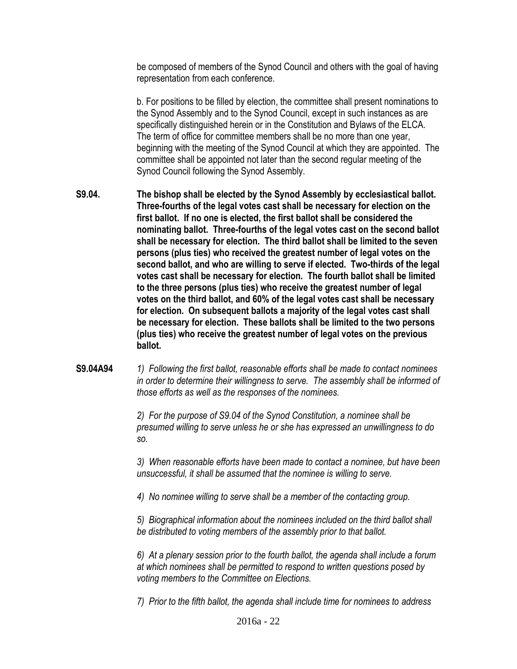be composed of members of the Synod Council and others with the goal of having representation from each conference.

b. For positions to be filled by election, the committee shall present nominations to the Synod Assembly and to the Synod Council, except in such instances as are specifically distinguished herein or in the Constitution and Bylaws of the ELCA. The term of office for committee members shall be no more than one year, beginning with the meeting of the Synod Council at which they are appointed. The committee shall be appointed not later than the second regular meeting of the Synod Council following the Synod Assembly.

- **S9.04. The bishop shall be elected by the Synod Assembly by ecclesiastical ballot. Three-fourths of the legal votes cast shall be necessary for election on the first ballot. If no one is elected, the first ballot shall be considered the nominating ballot. Three-fourths of the legal votes cast on the second ballot shall be necessary for election. The third ballot shall be limited to the seven persons (plus ties) who received the greatest number of legal votes on the second ballot, and who are willing to serve if elected. Two-thirds of the legal votes cast shall be necessary for election. The fourth ballot shall be limited to the three persons (plus ties) who receive the greatest number of legal votes on the third ballot, and 60% of the legal votes cast shall be necessary for election. On subsequent ballots a majority of the legal votes cast shall be necessary for election. These ballots shall be limited to the two persons (plus ties) who receive the greatest number of legal votes on the previous ballot.**
- **S9.04A94** *1) Following the first ballot, reasonable efforts shall be made to contact nominees in order to determine their willingness to serve. The assembly shall be informed of those efforts as well as the responses of the nominees.*

*2) For the purpose of S9.04 of the Synod Constitution, a nominee shall be presumed willing to serve unless he or she has expressed an unwillingness to do so.*

*3) When reasonable efforts have been made to contact a nominee, but have been unsuccessful, it shall be assumed that the nominee is willing to serve.*

*4) No nominee willing to serve shall be a member of the contacting group.*

*5) Biographical information about the nominees included on the third ballot shall be distributed to voting members of the assembly prior to that ballot.*

*6) At a plenary session prior to the fourth ballot, the agenda shall include a forum at which nominees shall be permitted to respond to written questions posed by voting members to the Committee on Elections.*

*7) Prior to the fifth ballot, the agenda shall include time for nominees to address*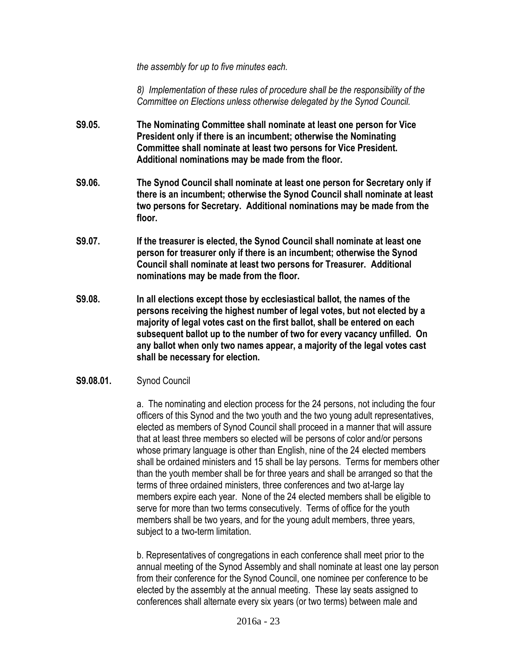*the assembly for up to five minutes each.*

*8) Implementation of these rules of procedure shall be the responsibility of the Committee on Elections unless otherwise delegated by the Synod Council.*

- **S9.05. The Nominating Committee shall nominate at least one person for Vice President only if there is an incumbent; otherwise the Nominating Committee shall nominate at least two persons for Vice President. Additional nominations may be made from the floor.**
- **S9.06. The Synod Council shall nominate at least one person for Secretary only if there is an incumbent; otherwise the Synod Council shall nominate at least two persons for Secretary. Additional nominations may be made from the floor.**
- **S9.07. If the treasurer is elected, the Synod Council shall nominate at least one person for treasurer only if there is an incumbent; otherwise the Synod Council shall nominate at least two persons for Treasurer. Additional nominations may be made from the floor.**
- **S9.08. In all elections except those by ecclesiastical ballot, the names of the persons receiving the highest number of legal votes, but not elected by a majority of legal votes cast on the first ballot, shall be entered on each subsequent ballot up to the number of two for every vacancy unfilled. On any ballot when only two names appear, a majority of the legal votes cast shall be necessary for election.**

## **S9.08.01.** Synod Council

a. The nominating and election process for the 24 persons, not including the four officers of this Synod and the two youth and the two young adult representatives, elected as members of Synod Council shall proceed in a manner that will assure that at least three members so elected will be persons of color and/or persons whose primary language is other than English, nine of the 24 elected members shall be ordained ministers and 15 shall be lay persons. Terms for members other than the youth member shall be for three years and shall be arranged so that the terms of three ordained ministers, three conferences and two at-large lay members expire each year. None of the 24 elected members shall be eligible to serve for more than two terms consecutively. Terms of office for the youth members shall be two years, and for the young adult members, three years, subject to a two-term limitation.

b. Representatives of congregations in each conference shall meet prior to the annual meeting of the Synod Assembly and shall nominate at least one lay person from their conference for the Synod Council, one nominee per conference to be elected by the assembly at the annual meeting. These lay seats assigned to conferences shall alternate every six years (or two terms) between male and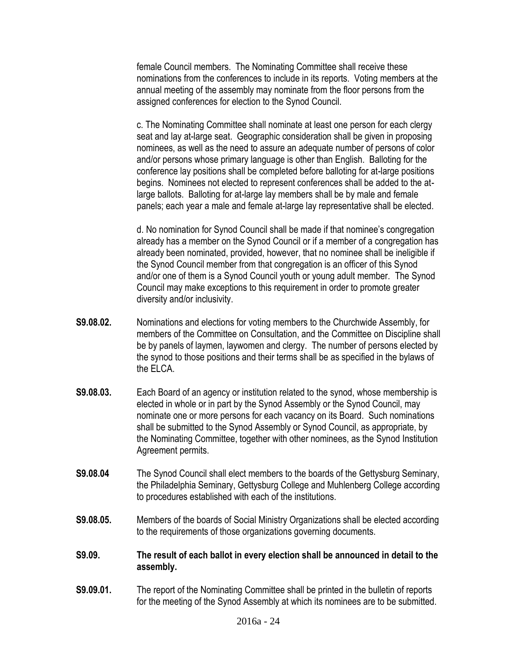female Council members. The Nominating Committee shall receive these nominations from the conferences to include in its reports. Voting members at the annual meeting of the assembly may nominate from the floor persons from the assigned conferences for election to the Synod Council.

c. The Nominating Committee shall nominate at least one person for each clergy seat and lay at-large seat. Geographic consideration shall be given in proposing nominees, as well as the need to assure an adequate number of persons of color and/or persons whose primary language is other than English. Balloting for the conference lay positions shall be completed before balloting for at-large positions begins. Nominees not elected to represent conferences shall be added to the atlarge ballots. Balloting for at-large lay members shall be by male and female panels; each year a male and female at-large lay representative shall be elected.

d. No nomination for Synod Council shall be made if that nominee's congregation already has a member on the Synod Council or if a member of a congregation has already been nominated, provided, however, that no nominee shall be ineligible if the Synod Council member from that congregation is an officer of this Synod and/or one of them is a Synod Council youth or young adult member. The Synod Council may make exceptions to this requirement in order to promote greater diversity and/or inclusivity.

- **S9.08.02.** Nominations and elections for voting members to the Churchwide Assembly, for members of the Committee on Consultation, and the Committee on Discipline shall be by panels of laymen, laywomen and clergy. The number of persons elected by the synod to those positions and their terms shall be as specified in the bylaws of the ELCA.
- **S9.08.03.** Each Board of an agency or institution related to the synod, whose membership is elected in whole or in part by the Synod Assembly or the Synod Council, may nominate one or more persons for each vacancy on its Board. Such nominations shall be submitted to the Synod Assembly or Synod Council, as appropriate, by the Nominating Committee, together with other nominees, as the Synod Institution Agreement permits.
- **S9.08.04** The Synod Council shall elect members to the boards of the Gettysburg Seminary, the Philadelphia Seminary, Gettysburg College and Muhlenberg College according to procedures established with each of the institutions.
- **S9.08.05.** Members of the boards of Social Ministry Organizations shall be elected according to the requirements of those organizations governing documents.
- **S9.09. The result of each ballot in every election shall be announced in detail to the assembly.**
- **S9.09.01.** The report of the Nominating Committee shall be printed in the bulletin of reports for the meeting of the Synod Assembly at which its nominees are to be submitted.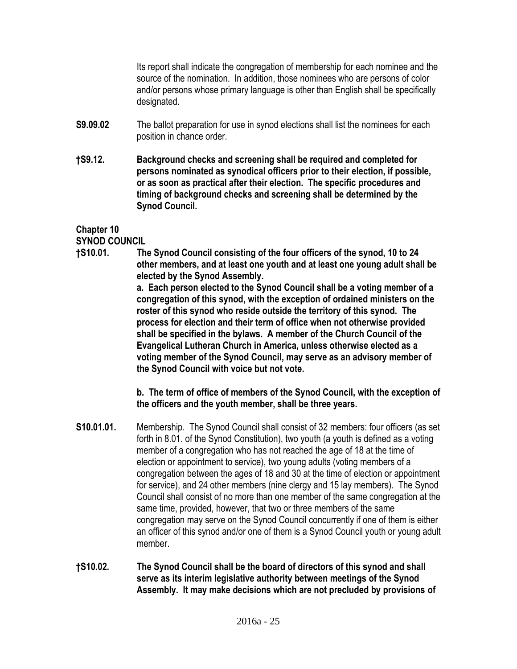Its report shall indicate the congregation of membership for each nominee and the source of the nomination. In addition, those nominees who are persons of color and/or persons whose primary language is other than English shall be specifically designated.

- **S9.09.02** The ballot preparation for use in synod elections shall list the nominees for each position in chance order.
- **†S9.12. Background checks and screening shall be required and completed for persons nominated as synodical officers prior to their election, if possible, or as soon as practical after their election. The specific procedures and timing of background checks and screening shall be determined by the Synod Council.**

# **Chapter 10**

# **SYNOD COUNCIL**

**†S10.01. The Synod Council consisting of the four officers of the synod, 10 to 24 other members, and at least one youth and at least one young adult shall be elected by the Synod Assembly.**

**a. Each person elected to the Synod Council shall be a voting member of a congregation of this synod, with the exception of ordained ministers on the roster of this synod who reside outside the territory of this synod. The process for election and their term of office when not otherwise provided shall be specified in the bylaws. A member of the Church Council of the Evangelical Lutheran Church in America, unless otherwise elected as a voting member of the Synod Council, may serve as an advisory member of the Synod Council with voice but not vote.**

# **b. The term of office of members of the Synod Council, with the exception of the officers and the youth member, shall be three years.**

- **S10.01.01.** Membership. The Synod Council shall consist of 32 members: four officers (as set forth in 8.01. of the Synod Constitution), two youth (a youth is defined as a voting member of a congregation who has not reached the age of 18 at the time of election or appointment to service), two young adults (voting members of a congregation between the ages of 18 and 30 at the time of election or appointment for service), and 24 other members (nine clergy and 15 lay members). The Synod Council shall consist of no more than one member of the same congregation at the same time, provided, however, that two or three members of the same congregation may serve on the Synod Council concurrently if one of them is either an officer of this synod and/or one of them is a Synod Council youth or young adult member.
- **†S10.02. The Synod Council shall be the board of directors of this synod and shall serve as its interim legislative authority between meetings of the Synod Assembly. It may make decisions which are not precluded by provisions of**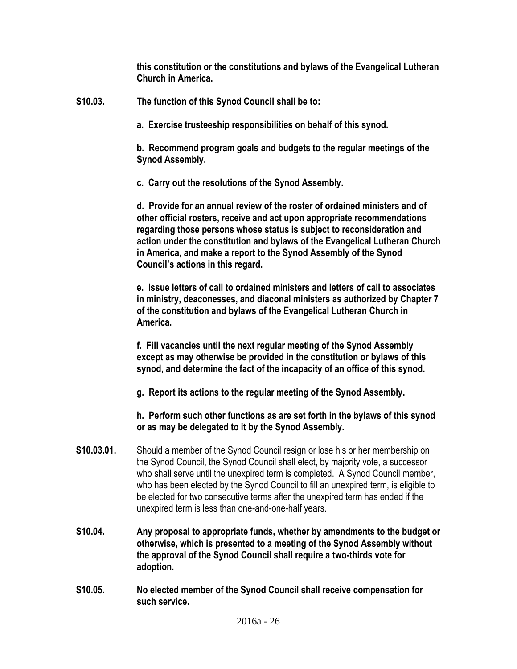**this constitution or the constitutions and bylaws of the Evangelical Lutheran Church in America.**

**S10.03. The function of this Synod Council shall be to:**

**a. Exercise trusteeship responsibilities on behalf of this synod.**

**b. Recommend program goals and budgets to the regular meetings of the Synod Assembly.**

**c. Carry out the resolutions of the Synod Assembly.**

**d. Provide for an annual review of the roster of ordained ministers and of other official rosters, receive and act upon appropriate recommendations regarding those persons whose status is subject to reconsideration and action under the constitution and bylaws of the Evangelical Lutheran Church in America, and make a report to the Synod Assembly of the Synod Council's actions in this regard.**

**e. Issue letters of call to ordained ministers and letters of call to associates in ministry, deaconesses, and diaconal ministers as authorized by Chapter 7 of the constitution and bylaws of the Evangelical Lutheran Church in America.**

**f. Fill vacancies until the next regular meeting of the Synod Assembly except as may otherwise be provided in the constitution or bylaws of this synod, and determine the fact of the incapacity of an office of this synod.**

**g. Report its actions to the regular meeting of the Synod Assembly.**

**h. Perform such other functions as are set forth in the bylaws of this synod or as may be delegated to it by the Synod Assembly.**

- **S10.03.01.** Should a member of the Synod Council resign or lose his or her membership on the Synod Council, the Synod Council shall elect, by majority vote, a successor who shall serve until the unexpired term is completed. A Synod Council member, who has been elected by the Synod Council to fill an unexpired term, is eligible to be elected for two consecutive terms after the unexpired term has ended if the unexpired term is less than one-and-one-half years.
- **S10.04. Any proposal to appropriate funds, whether by amendments to the budget or otherwise, which is presented to a meeting of the Synod Assembly without the approval of the Synod Council shall require a two-thirds vote for adoption.**
- **S10.05. No elected member of the Synod Council shall receive compensation for such service.**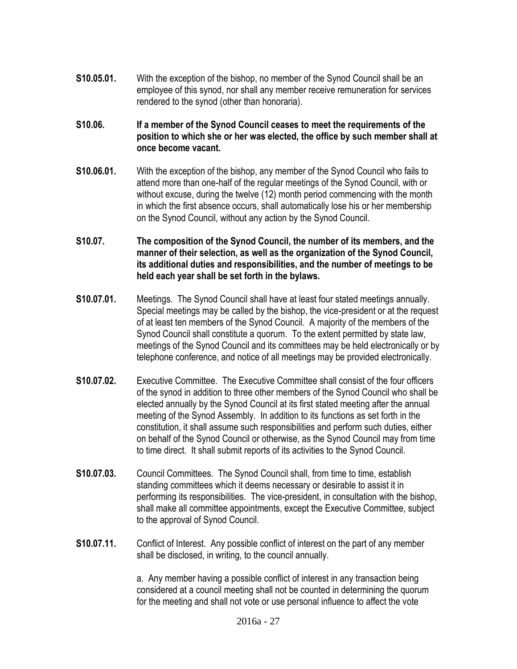- **S10.05.01.** With the exception of the bishop, no member of the Synod Council shall be an employee of this synod, nor shall any member receive remuneration for services rendered to the synod (other than honoraria).
- **S10.06. If a member of the Synod Council ceases to meet the requirements of the position to which she or her was elected, the office by such member shall at once become vacant.**
- **S10.06.01.** With the exception of the bishop, any member of the Synod Council who fails to attend more than one-half of the regular meetings of the Synod Council, with or without excuse, during the twelve (12) month period commencing with the month in which the first absence occurs, shall automatically lose his or her membership on the Synod Council, without any action by the Synod Council.
- **S10.07. The composition of the Synod Council, the number of its members, and the manner of their selection, as well as the organization of the Synod Council, its additional duties and responsibilities, and the number of meetings to be held each year shall be set forth in the bylaws.**
- **S10.07.01.** Meetings. The Synod Council shall have at least four stated meetings annually. Special meetings may be called by the bishop, the vice-president or at the request of at least ten members of the Synod Council. A majority of the members of the Synod Council shall constitute a quorum. To the extent permitted by state law, meetings of the Synod Council and its committees may be held electronically or by telephone conference, and notice of all meetings may be provided electronically.
- **S10.07.02.** Executive Committee. The Executive Committee shall consist of the four officers of the synod in addition to three other members of the Synod Council who shall be elected annually by the Synod Council at its first stated meeting after the annual meeting of the Synod Assembly. In addition to its functions as set forth in the constitution, it shall assume such responsibilities and perform such duties, either on behalf of the Synod Council or otherwise, as the Synod Council may from time to time direct. It shall submit reports of its activities to the Synod Council.
- **S10.07.03.** Council Committees. The Synod Council shall, from time to time, establish standing committees which it deems necessary or desirable to assist it in performing its responsibilities. The vice-president, in consultation with the bishop, shall make all committee appointments, except the Executive Committee, subject to the approval of Synod Council.
- **S10.07.11.** Conflict of Interest. Any possible conflict of interest on the part of any member shall be disclosed, in writing, to the council annually.

a. Any member having a possible conflict of interest in any transaction being considered at a council meeting shall not be counted in determining the quorum for the meeting and shall not vote or use personal influence to affect the vote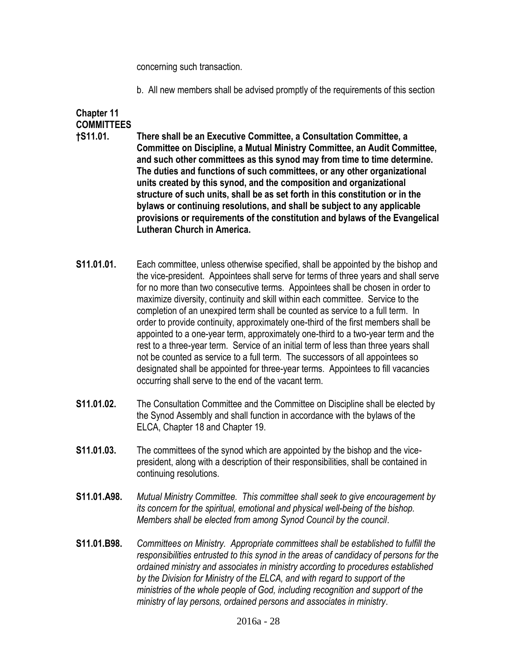concerning such transaction.

b. All new members shall be advised promptly of the requirements of this section

# **Chapter 11 COMMITTEES**

- **†S11.01. There shall be an Executive Committee, a Consultation Committee, a Committee on Discipline, a Mutual Ministry Committee, an Audit Committee, and such other committees as this synod may from time to time determine. The duties and functions of such committees, or any other organizational units created by this synod, and the composition and organizational structure of such units, shall be as set forth in this constitution or in the bylaws or continuing resolutions, and shall be subject to any applicable provisions or requirements of the constitution and bylaws of the Evangelical Lutheran Church in America.**
- **S11.01.01.** Each committee, unless otherwise specified, shall be appointed by the bishop and the vice-president. Appointees shall serve for terms of three years and shall serve for no more than two consecutive terms. Appointees shall be chosen in order to maximize diversity, continuity and skill within each committee. Service to the completion of an unexpired term shall be counted as service to a full term. In order to provide continuity, approximately one-third of the first members shall be appointed to a one-year term, approximately one-third to a two-year term and the rest to a three-year term. Service of an initial term of less than three years shall not be counted as service to a full term. The successors of all appointees so designated shall be appointed for three-year terms. Appointees to fill vacancies occurring shall serve to the end of the vacant term.
- **S11.01.02.** The Consultation Committee and the Committee on Discipline shall be elected by the Synod Assembly and shall function in accordance with the bylaws of the ELCA, Chapter 18 and Chapter 19.
- **S11.01.03.** The committees of the synod which are appointed by the bishop and the vicepresident, along with a description of their responsibilities, shall be contained in continuing resolutions.
- **S11.01.A98.** *Mutual Ministry Committee. This committee shall seek to give encouragement by its concern for the spiritual, emotional and physical well-being of the bishop. Members shall be elected from among Synod Council by the council*.
- **S11.01.B98.** *Committees on Ministry. Appropriate committees shall be established to fulfill the responsibilities entrusted to this synod in the areas of candidacy of persons for the ordained ministry and associates in ministry according to procedures established by the Division for Ministry of the ELCA, and with regard to support of the ministries of the whole people of God, including recognition and support of the ministry of lay persons, ordained persons and associates in ministry*.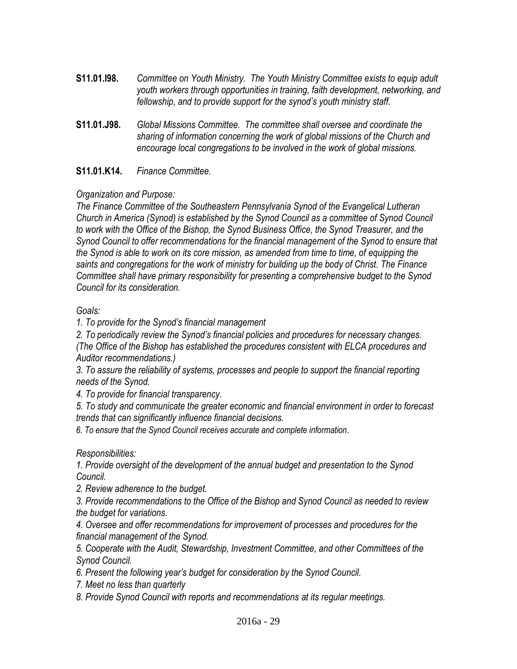- **S11.01.I98.** *Committee on Youth Ministry. The Youth Ministry Committee exists to equip adult youth workers through opportunities in training, faith development, networking, and fellowship, and to provide support for the synod's youth ministry staff.*
- **S11.01.J98.** *Global Missions Committee. The committee shall oversee and coordinate the sharing of information concerning the work of global missions of the Church and encourage local congregations to be involved in the work of global missions.*

# **S11.01.K14.** *Finance Committee.*

# *Organization and Purpose:*

*The Finance Committee of the Southeastern Pennsylvania Synod of the Evangelical Lutheran Church in America (Synod) is established by the Synod Council as a committee of Synod Council to work with the Office of the Bishop, the Synod Business Office, the Synod Treasurer, and the Synod Council to offer recommendations for the financial management of the Synod to ensure that the Synod is able to work on its core mission, as amended from time to time, of equipping the saints and congregations for the work of ministry for building up the body of Christ. The Finance Committee shall have primary responsibility for presenting a comprehensive budget to the Synod Council for its consideration.* 

## *Goals:*

*1. To provide for the Synod's financial management* 

*2. To periodically review the Synod's financial policies and procedures for necessary changes. (The Office of the Bishop has established the procedures consistent with ELCA procedures and Auditor recommendations.)* 

*3. To assure the reliability of systems, processes and people to support the financial reporting needs of the Synod.* 

*4. To provide for financial transparency.* 

*5. To study and communicate the greater economic and financial environment in order to forecast trends that can significantly influence financial decisions.* 

*6. To ensure that the Synod Council receives accurate and complete information.* 

*Responsibilities:*

*1. Provide oversight of the development of the annual budget and presentation to the Synod Council.* 

*2. Review adherence to the budget.* 

*3. Provide recommendations to the Office of the Bishop and Synod Council as needed to review the budget for variations.* 

*4. Oversee and offer recommendations for improvement of processes and procedures for the financial management of the Synod.* 

*5. Cooperate with the Audit, Stewardship, Investment Committee, and other Committees of the Synod Council.* 

*6. Present the following year's budget for consideration by the Synod Council.* 

*7. Meet no less than quarterly* 

*8. Provide Synod Council with reports and recommendations at its regular meetings.*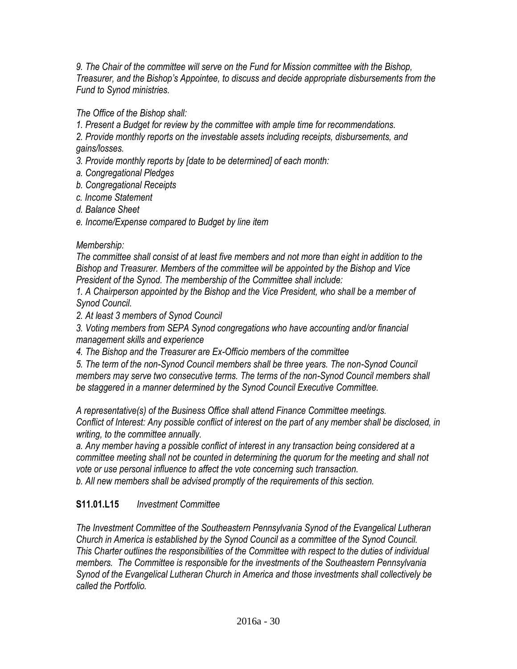*9. The Chair of the committee will serve on the Fund for Mission committee with the Bishop, Treasurer, and the Bishop's Appointee, to discuss and decide appropriate disbursements from the Fund to Synod ministries.*

*The Office of the Bishop shall:* 

*1. Present a Budget for review by the committee with ample time for recommendations.* 

*2. Provide monthly reports on the investable assets including receipts, disbursements, and gains/losses.* 

- *3. Provide monthly reports by [date to be determined] of each month:*
- *a. Congregational Pledges*
- *b. Congregational Receipts*
- *c. Income Statement*
- *d. Balance Sheet*
- *e. Income/Expense compared to Budget by line item*

# *Membership:*

*The committee shall consist of at least five members and not more than eight in addition to the Bishop and Treasurer. Members of the committee will be appointed by the Bishop and Vice President of the Synod. The membership of the Committee shall include:* 

*1. A Chairperson appointed by the Bishop and the Vice President, who shall be a member of Synod Council.* 

*2. At least 3 members of Synod Council* 

*3. Voting members from SEPA Synod congregations who have accounting and/or financial management skills and experience* 

*4. The Bishop and the Treasurer are Ex-Officio members of the committee* 

*5. The term of the non-Synod Council members shall be three years. The non-Synod Council members may serve two consecutive terms. The terms of the non-Synod Council members shall be staggered in a manner determined by the Synod Council Executive Committee.* 

*A representative(s) of the Business Office shall attend Finance Committee meetings. Conflict of Interest: Any possible conflict of interest on the part of any member shall be disclosed, in writing, to the committee annually.* 

*a. Any member having a possible conflict of interest in any transaction being considered at a committee meeting shall not be counted in determining the quorum for the meeting and shall not vote or use personal influence to affect the vote concerning such transaction.* 

*b. All new members shall be advised promptly of the requirements of this section.* 

# **S11.01.L15** *Investment Committee*

*The Investment Committee of the Southeastern Pennsylvania Synod of the Evangelical Lutheran Church in America is established by the Synod Council as a committee of the Synod Council. This Charter outlines the responsibilities of the Committee with respect to the duties of individual members. The Committee is responsible for the investments of the Southeastern Pennsylvania Synod of the Evangelical Lutheran Church in America and those investments shall collectively be called the Portfolio.*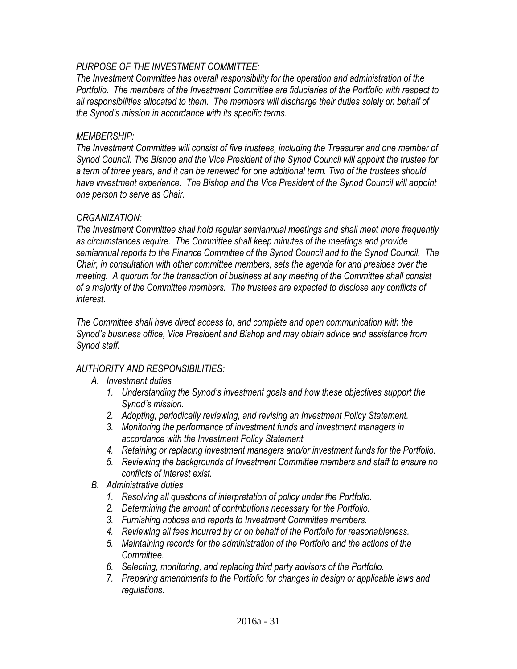# *PURPOSE OF THE INVESTMENT COMMITTEE:*

*The Investment Committee has overall responsibility for the operation and administration of the Portfolio. The members of the Investment Committee are fiduciaries of the Portfolio with respect to all responsibilities allocated to them. The members will discharge their duties solely on behalf of the Synod's mission in accordance with its specific terms.*

#### *MEMBERSHIP:*

*The Investment Committee will consist of five trustees, including the Treasurer and one member of Synod Council. The Bishop and the Vice President of the Synod Council will appoint the trustee for a term of three years, and it can be renewed for one additional term. Two of the trustees should have investment experience. The Bishop and the Vice President of the Synod Council will appoint one person to serve as Chair.*

#### *ORGANIZATION:*

*The Investment Committee shall hold regular semiannual meetings and shall meet more frequently as circumstances require. The Committee shall keep minutes of the meetings and provide semiannual reports to the Finance Committee of the Synod Council and to the Synod Council. The Chair, in consultation with other committee members, sets the agenda for and presides over the meeting. A quorum for the transaction of business at any meeting of the Committee shall consist of a majority of the Committee members. The trustees are expected to disclose any conflicts of interest.*

*The Committee shall have direct access to, and complete and open communication with the Synod's business office, Vice President and Bishop and may obtain advice and assistance from Synod staff.*

## *AUTHORITY AND RESPONSIBILITIES:*

- *A. Investment duties*
	- *1. Understanding the Synod's investment goals and how these objectives support the Synod's mission.*
	- *2. Adopting, periodically reviewing, and revising an Investment Policy Statement.*
	- *3. Monitoring the performance of investment funds and investment managers in accordance with the Investment Policy Statement.*
	- *4. Retaining or replacing investment managers and/or investment funds for the Portfolio.*
	- *5. Reviewing the backgrounds of Investment Committee members and staff to ensure no conflicts of interest exist.*
- *B. Administrative duties*
	- *1. Resolving all questions of interpretation of policy under the Portfolio.*
	- *2. Determining the amount of contributions necessary for the Portfolio.*
	- *3. Furnishing notices and reports to Investment Committee members.*
	- *4. Reviewing all fees incurred by or on behalf of the Portfolio for reasonableness.*
	- *5. Maintaining records for the administration of the Portfolio and the actions of the Committee.*
	- *6. Selecting, monitoring, and replacing third party advisors of the Portfolio.*
	- *7. Preparing amendments to the Portfolio for changes in design or applicable laws and regulations.*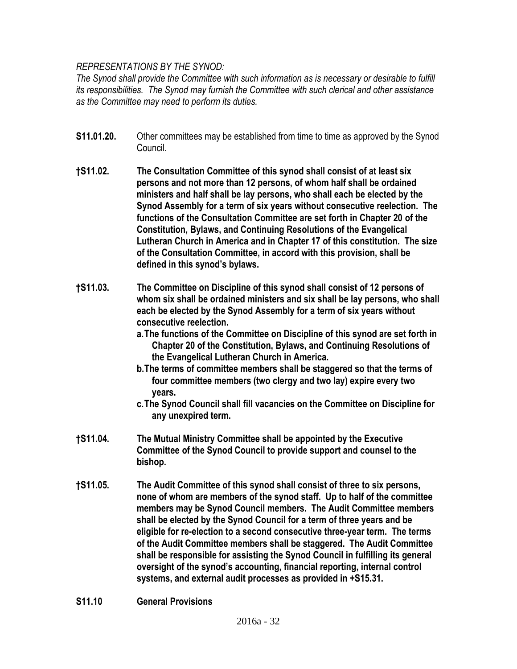## *REPRESENTATIONS BY THE SYNOD:*

*The Synod shall provide the Committee with such information as is necessary or desirable to fulfill its responsibilities. The Synod may furnish the Committee with such clerical and other assistance as the Committee may need to perform its duties.*

- **S11.01.20.** Other committees may be established from time to time as approved by the Synod Council.
- **†S11.02. The Consultation Committee of this synod shall consist of at least six persons and not more than 12 persons, of whom half shall be ordained ministers and half shall be lay persons, who shall each be elected by the Synod Assembly for a term of six years without consecutive reelection. The functions of the Consultation Committee are set forth in Chapter 20 of the Constitution, Bylaws, and Continuing Resolutions of the Evangelical Lutheran Church in America and in Chapter 17 of this constitution. The size of the Consultation Committee, in accord with this provision, shall be defined in this synod's bylaws.**
- **†S11.03. The Committee on Discipline of this synod shall consist of 12 persons of whom six shall be ordained ministers and six shall be lay persons, who shall each be elected by the Synod Assembly for a term of six years without consecutive reelection.** 
	- **a.The functions of the Committee on Discipline of this synod are set forth in Chapter 20 of the Constitution, Bylaws, and Continuing Resolutions of the Evangelical Lutheran Church in America.**
	- **b.The terms of committee members shall be staggered so that the terms of four committee members (two clergy and two lay) expire every two years.**
	- **c.The Synod Council shall fill vacancies on the Committee on Discipline for any unexpired term.**
- **†S11.04. The Mutual Ministry Committee shall be appointed by the Executive Committee of the Synod Council to provide support and counsel to the bishop.**
- **†S11.05. The Audit Committee of this synod shall consist of three to six persons, none of whom are members of the synod staff. Up to half of the committee members may be Synod Council members. The Audit Committee members shall be elected by the Synod Council for a term of three years and be eligible for re-election to a second consecutive three-year term. The terms of the Audit Committee members shall be staggered. The Audit Committee shall be responsible for assisting the Synod Council in fulfilling its general oversight of the synod's accounting, financial reporting, internal control systems, and external audit processes as provided in +S15.31.**
- **S11.10 General Provisions**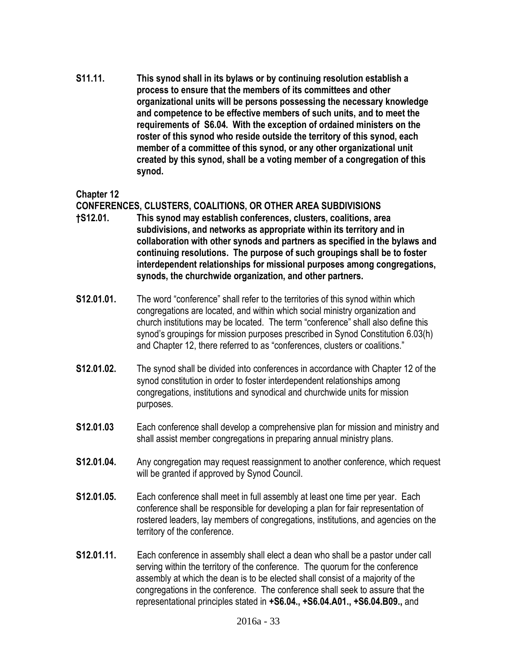**S11.11. This synod shall in its bylaws or by continuing resolution establish a process to ensure that the members of its committees and other organizational units will be persons possessing the necessary knowledge and competence to be effective members of such units, and to meet the requirements of S6.04. With the exception of ordained ministers on the roster of this synod who reside outside the territory of this synod, each member of a committee of this synod, or any other organizational unit created by this synod, shall be a voting member of a congregation of this synod.**

## **Chapter 12**

**CONFERENCES, CLUSTERS, COALITIONS, OR OTHER AREA SUBDIVISIONS**

- **†S12.01. This synod may establish conferences, clusters, coalitions, area subdivisions, and networks as appropriate within its territory and in collaboration with other synods and partners as specified in the bylaws and continuing resolutions. The purpose of such groupings shall be to foster interdependent relationships for missional purposes among congregations, synods, the churchwide organization, and other partners.**
- **S12.01.01.** The word "conference" shall refer to the territories of this synod within which congregations are located, and within which social ministry organization and church institutions may be located. The term "conference" shall also define this synod's groupings for mission purposes prescribed in Synod Constitution 6.03(h) and Chapter 12, there referred to as "conferences, clusters or coalitions."
- **S12.01.02.** The synod shall be divided into conferences in accordance with Chapter 12 of the synod constitution in order to foster interdependent relationships among congregations, institutions and synodical and churchwide units for mission purposes.
- **S12.01.03** Each conference shall develop a comprehensive plan for mission and ministry and shall assist member congregations in preparing annual ministry plans.
- **S12.01.04.** Any congregation may request reassignment to another conference, which request will be granted if approved by Synod Council.
- **S12.01.05.** Each conference shall meet in full assembly at least one time per year. Each conference shall be responsible for developing a plan for fair representation of rostered leaders, lay members of congregations, institutions, and agencies on the territory of the conference.
- **S12.01.11.** Each conference in assembly shall elect a dean who shall be a pastor under call serving within the territory of the conference. The quorum for the conference assembly at which the dean is to be elected shall consist of a majority of the congregations in the conference. The conference shall seek to assure that the representational principles stated in **+S6.04., +S6.04.A01., +S6.04.B09.,** and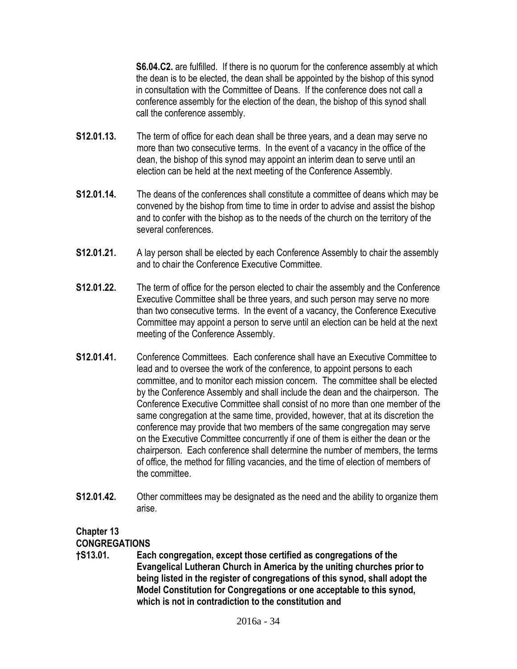**S6.04.C2.** are fulfilled. If there is no quorum for the conference assembly at which the dean is to be elected, the dean shall be appointed by the bishop of this synod in consultation with the Committee of Deans. If the conference does not call a conference assembly for the election of the dean, the bishop of this synod shall call the conference assembly.

- **S12.01.13.** The term of office for each dean shall be three years, and a dean may serve no more than two consecutive terms. In the event of a vacancy in the office of the dean, the bishop of this synod may appoint an interim dean to serve until an election can be held at the next meeting of the Conference Assembly.
- **S12.01.14.** The deans of the conferences shall constitute a committee of deans which may be convened by the bishop from time to time in order to advise and assist the bishop and to confer with the bishop as to the needs of the church on the territory of the several conferences.
- **S12.01.21.** A lay person shall be elected by each Conference Assembly to chair the assembly and to chair the Conference Executive Committee.
- **S12.01.22.** The term of office for the person elected to chair the assembly and the Conference Executive Committee shall be three years, and such person may serve no more than two consecutive terms. In the event of a vacancy, the Conference Executive Committee may appoint a person to serve until an election can be held at the next meeting of the Conference Assembly.
- **S12.01.41.** Conference Committees. Each conference shall have an Executive Committee to lead and to oversee the work of the conference, to appoint persons to each committee, and to monitor each mission concern. The committee shall be elected by the Conference Assembly and shall include the dean and the chairperson. The Conference Executive Committee shall consist of no more than one member of the same congregation at the same time, provided, however, that at its discretion the conference may provide that two members of the same congregation may serve on the Executive Committee concurrently if one of them is either the dean or the chairperson. Each conference shall determine the number of members, the terms of office, the method for filling vacancies, and the time of election of members of the committee.
- **S12.01.42.** Other committees may be designated as the need and the ability to organize them arise.

# **Chapter 13**

**CONGREGATIONS**

**†S13.01. Each congregation, except those certified as congregations of the Evangelical Lutheran Church in America by the uniting churches prior to being listed in the register of congregations of this synod, shall adopt the Model Constitution for Congregations or one acceptable to this synod, which is not in contradiction to the constitution and**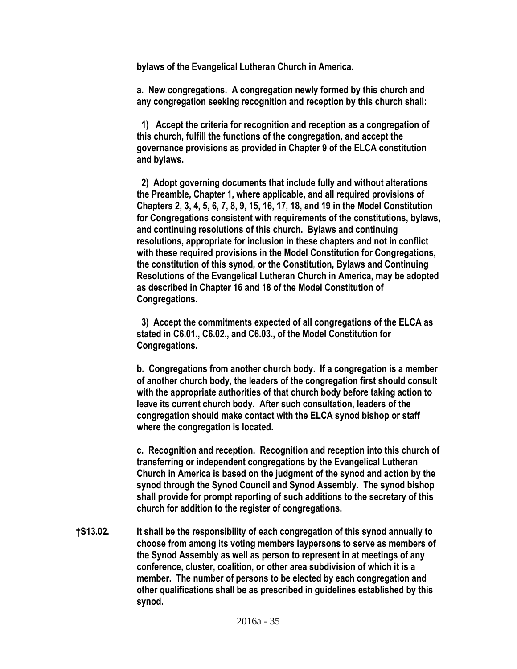**bylaws of the Evangelical Lutheran Church in America.**

**a. New congregations. A congregation newly formed by this church and any congregation seeking recognition and reception by this church shall:**

 **1) Accept the criteria for recognition and reception as a congregation of this church, fulfill the functions of the congregation, and accept the governance provisions as provided in Chapter 9 of the ELCA constitution and bylaws.**

 **2) Adopt governing documents that include fully and without alterations the Preamble, Chapter 1, where applicable, and all required provisions of Chapters 2, 3, 4, 5, 6, 7, 8, 9, 15, 16, 17, 18, and 19 in the Model Constitution for Congregations consistent with requirements of the constitutions, bylaws, and continuing resolutions of this church. Bylaws and continuing resolutions, appropriate for inclusion in these chapters and not in conflict with these required provisions in the Model Constitution for Congregations, the constitution of this synod, or the Constitution, Bylaws and Continuing Resolutions of the Evangelical Lutheran Church in America, may be adopted as described in Chapter 16 and 18 of the Model Constitution of Congregations.**

 **3) Accept the commitments expected of all congregations of the ELCA as stated in C6.01., C6.02., and C6.03., of the Model Constitution for Congregations.**

**b. Congregations from another church body. If a congregation is a member of another church body, the leaders of the congregation first should consult with the appropriate authorities of that church body before taking action to leave its current church body. After such consultation, leaders of the congregation should make contact with the ELCA synod bishop or staff where the congregation is located.**

**c. Recognition and reception. Recognition and reception into this church of transferring or independent congregations by the Evangelical Lutheran Church in America is based on the judgment of the synod and action by the synod through the Synod Council and Synod Assembly. The synod bishop shall provide for prompt reporting of such additions to the secretary of this church for addition to the register of congregations.**

**†S13.02. It shall be the responsibility of each congregation of this synod annually to choose from among its voting members laypersons to serve as members of the Synod Assembly as well as person to represent in at meetings of any conference, cluster, coalition, or other area subdivision of which it is a member. The number of persons to be elected by each congregation and other qualifications shall be as prescribed in guidelines established by this synod.**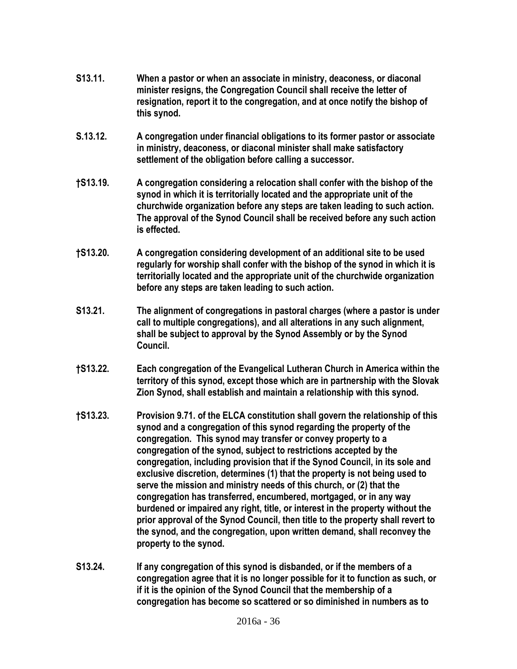- **S13.11. When a pastor or when an associate in ministry, deaconess, or diaconal minister resigns, the Congregation Council shall receive the letter of resignation, report it to the congregation, and at once notify the bishop of this synod.**
- **S.13.12. A congregation under financial obligations to its former pastor or associate in ministry, deaconess, or diaconal minister shall make satisfactory settlement of the obligation before calling a successor.**
- **†S13.19. A congregation considering a relocation shall confer with the bishop of the synod in which it is territorially located and the appropriate unit of the churchwide organization before any steps are taken leading to such action. The approval of the Synod Council shall be received before any such action is effected.**
- **†S13.20. A congregation considering development of an additional site to be used regularly for worship shall confer with the bishop of the synod in which it is territorially located and the appropriate unit of the churchwide organization before any steps are taken leading to such action.**
- **S13.21. The alignment of congregations in pastoral charges (where a pastor is under call to multiple congregations), and all alterations in any such alignment, shall be subject to approval by the Synod Assembly or by the Synod Council.**
- **†S13.22. Each congregation of the Evangelical Lutheran Church in America within the territory of this synod, except those which are in partnership with the Slovak Zion Synod, shall establish and maintain a relationship with this synod.**
- **†S13.23. Provision 9.71. of the ELCA constitution shall govern the relationship of this synod and a congregation of this synod regarding the property of the congregation. This synod may transfer or convey property to a congregation of the synod, subject to restrictions accepted by the congregation, including provision that if the Synod Council, in its sole and exclusive discretion, determines (1) that the property is not being used to serve the mission and ministry needs of this church, or (2) that the congregation has transferred, encumbered, mortgaged, or in any way burdened or impaired any right, title, or interest in the property without the prior approval of the Synod Council, then title to the property shall revert to the synod, and the congregation, upon written demand, shall reconvey the property to the synod.**
- **S13.24. If any congregation of this synod is disbanded, or if the members of a congregation agree that it is no longer possible for it to function as such, or if it is the opinion of the Synod Council that the membership of a congregation has become so scattered or so diminished in numbers as to**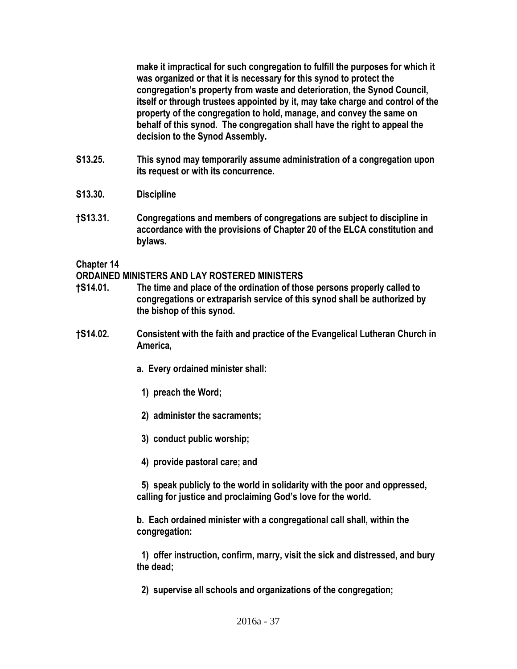**make it impractical for such congregation to fulfill the purposes for which it was organized or that it is necessary for this synod to protect the congregation's property from waste and deterioration, the Synod Council, itself or through trustees appointed by it, may take charge and control of the property of the congregation to hold, manage, and convey the same on behalf of this synod. The congregation shall have the right to appeal the decision to the Synod Assembly.**

- **S13.25. This synod may temporarily assume administration of a congregation upon its request or with its concurrence.**
- **S13.30. Discipline**
- **†S13.31. Congregations and members of congregations are subject to discipline in accordance with the provisions of Chapter 20 of the ELCA constitution and bylaws.**

## **Chapter 14**

# **ORDAINED MINISTERS AND LAY ROSTERED MINISTERS**

- **†S14.01. The time and place of the ordination of those persons properly called to congregations or extraparish service of this synod shall be authorized by the bishop of this synod.**
- **†S14.02. Consistent with the faith and practice of the Evangelical Lutheran Church in America,**
	- **a. Every ordained minister shall:**
	- **1) preach the Word;**
	- **2) administer the sacraments;**
	- **3) conduct public worship;**
	- **4) provide pastoral care; and**

 **5) speak publicly to the world in solidarity with the poor and oppressed, calling for justice and proclaiming God's love for the world.**

**b. Each ordained minister with a congregational call shall, within the congregation:**

 **1) offer instruction, confirm, marry, visit the sick and distressed, and bury the dead;**

 **2) supervise all schools and organizations of the congregation;**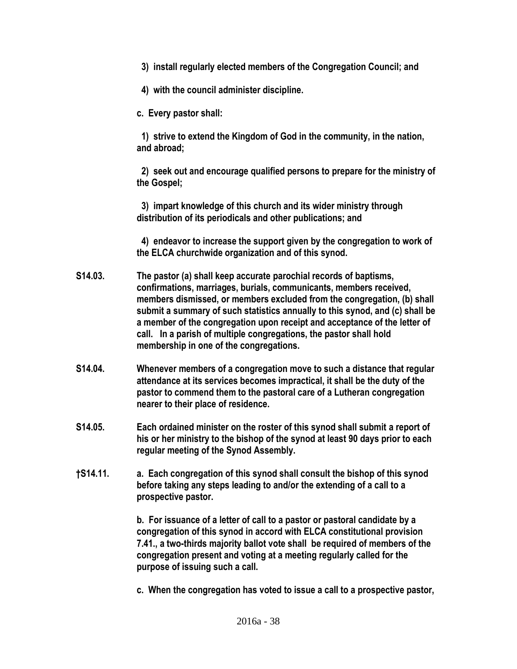- **3) install regularly elected members of the Congregation Council; and**
- **4) with the council administer discipline.**
- **c. Every pastor shall:**

 **1) strive to extend the Kingdom of God in the community, in the nation, and abroad;**

 **2) seek out and encourage qualified persons to prepare for the ministry of the Gospel;**

 **3) impart knowledge of this church and its wider ministry through distribution of its periodicals and other publications; and**

 **4) endeavor to increase the support given by the congregation to work of the ELCA churchwide organization and of this synod.**

- **S14.03. The pastor (a) shall keep accurate parochial records of baptisms, confirmations, marriages, burials, communicants, members received, members dismissed, or members excluded from the congregation, (b) shall submit a summary of such statistics annually to this synod, and (c) shall be a member of the congregation upon receipt and acceptance of the letter of call. In a parish of multiple congregations, the pastor shall hold membership in one of the congregations.**
- **S14.04. Whenever members of a congregation move to such a distance that regular attendance at its services becomes impractical, it shall be the duty of the pastor to commend them to the pastoral care of a Lutheran congregation nearer to their place of residence.**
- **S14.05. Each ordained minister on the roster of this synod shall submit a report of his or her ministry to the bishop of the synod at least 90 days prior to each regular meeting of the Synod Assembly.**
- **†S14.11. a. Each congregation of this synod shall consult the bishop of this synod before taking any steps leading to and/or the extending of a call to a prospective pastor.**

**b. For issuance of a letter of call to a pastor or pastoral candidate by a congregation of this synod in accord with ELCA constitutional provision 7.41., a two-thirds majority ballot vote shall be required of members of the congregation present and voting at a meeting regularly called for the purpose of issuing such a call.**

**c. When the congregation has voted to issue a call to a prospective pastor,**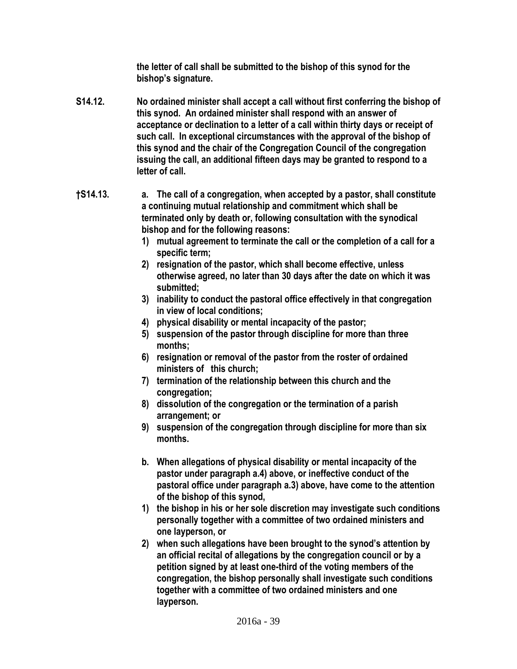**the letter of call shall be submitted to the bishop of this synod for the bishop's signature.**

- **S14.12. No ordained minister shall accept a call without first conferring the bishop of this synod. An ordained minister shall respond with an answer of acceptance or declination to a letter of a call within thirty days or receipt of such call. In exceptional circumstances with the approval of the bishop of this synod and the chair of the Congregation Council of the congregation issuing the call, an additional fifteen days may be granted to respond to a letter of call.**
- **†S14.13. a. The call of a congregation, when accepted by a pastor, shall constitute a continuing mutual relationship and commitment which shall be terminated only by death or, following consultation with the synodical bishop and for the following reasons:**
	- **1) mutual agreement to terminate the call or the completion of a call for a specific term;**
	- **2) resignation of the pastor, which shall become effective, unless otherwise agreed, no later than 30 days after the date on which it was submitted;**
	- **3) inability to conduct the pastoral office effectively in that congregation in view of local conditions;**
	- **4) physical disability or mental incapacity of the pastor;**
	- **5) suspension of the pastor through discipline for more than three months;**
	- **6) resignation or removal of the pastor from the roster of ordained ministers of this church;**
	- **7) termination of the relationship between this church and the congregation;**
	- **8) dissolution of the congregation or the termination of a parish arrangement; or**
	- **9) suspension of the congregation through discipline for more than six months.**
	- **b. When allegations of physical disability or mental incapacity of the pastor under paragraph a.4) above, or ineffective conduct of the pastoral office under paragraph a.3) above, have come to the attention of the bishop of this synod,**
	- **1) the bishop in his or her sole discretion may investigate such conditions personally together with a committee of two ordained ministers and one layperson, or**
	- **2) when such allegations have been brought to the synod's attention by an official recital of allegations by the congregation council or by a petition signed by at least one-third of the voting members of the congregation, the bishop personally shall investigate such conditions together with a committee of two ordained ministers and one layperson.**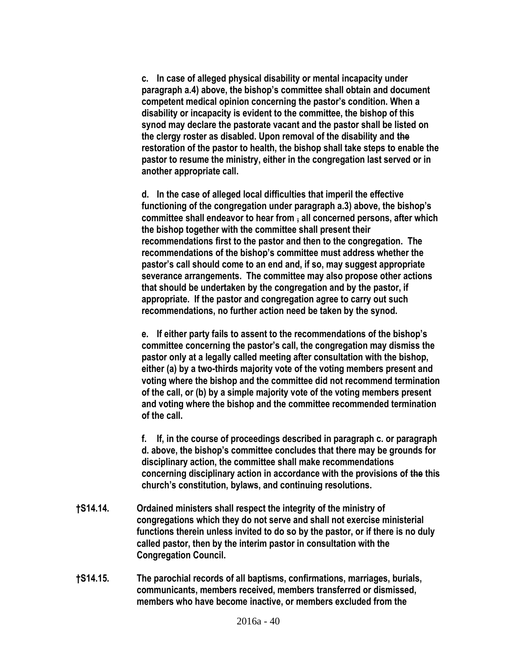**c. In case of alleged physical disability or mental incapacity under paragraph a.4) above, the bishop's committee shall obtain and document competent medical opinion concerning the pastor's condition. When a disability or incapacity is evident to the committee, the bishop of this synod may declare the pastorate vacant and the pastor shall be listed on the clergy roster as disabled. Upon removal of the disability and the restoration of the pastor to health, the bishop shall take steps to enable the pastor to resume the ministry, either in the congregation last served or in another appropriate call.**

**d. In the case of alleged local difficulties that imperil the effective functioning of the congregation under paragraph a.3) above, the bishop's committee shall endeavor to hear from , all concerned persons, after which the bishop together with the committee shall present their recommendations first to the pastor and then to the congregation. The recommendations of the bishop's committee must address whether the pastor's call should come to an end and, if so, may suggest appropriate severance arrangements. The committee may also propose other actions that should be undertaken by the congregation and by the pastor, if appropriate. If the pastor and congregation agree to carry out such recommendations, no further action need be taken by the synod.**

**e. If either party fails to assent to the recommendations of the bishop's committee concerning the pastor's call, the congregation may dismiss the pastor only at a legally called meeting after consultation with the bishop, either (a) by a two-thirds majority vote of the voting members present and voting where the bishop and the committee did not recommend termination of the call, or (b) by a simple majority vote of the voting members present and voting where the bishop and the committee recommended termination of the call.**

**f. If, in the course of proceedings described in paragraph c. or paragraph d. above, the bishop's committee concludes that there may be grounds for disciplinary action, the committee shall make recommendations concerning disciplinary action in accordance with the provisions of the this church's constitution, bylaws, and continuing resolutions.**

- **†S14.14. Ordained ministers shall respect the integrity of the ministry of congregations which they do not serve and shall not exercise ministerial functions therein unless invited to do so by the pastor, or if there is no duly called pastor, then by the interim pastor in consultation with the Congregation Council.**
- **†S14.15. The parochial records of all baptisms, confirmations, marriages, burials, communicants, members received, members transferred or dismissed, members who have become inactive, or members excluded from the**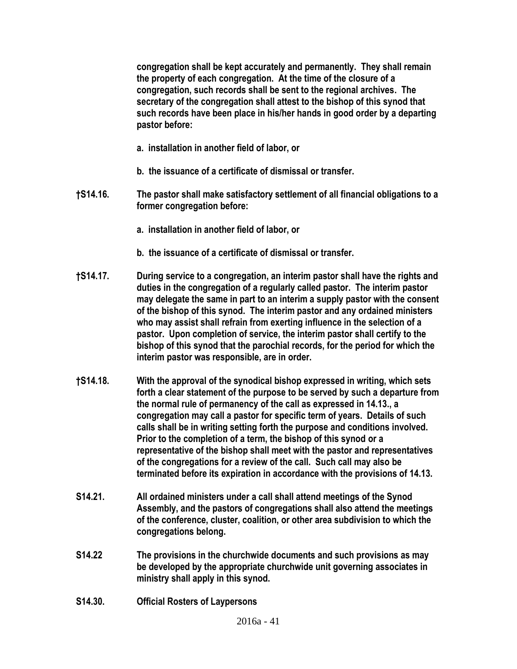**congregation shall be kept accurately and permanently. They shall remain the property of each congregation. At the time of the closure of a congregation, such records shall be sent to the regional archives. The secretary of the congregation shall attest to the bishop of this synod that such records have been place in his/her hands in good order by a departing pastor before:**

- **a. installation in another field of labor, or**
- **b. the issuance of a certificate of dismissal or transfer.**
- **†S14.16. The pastor shall make satisfactory settlement of all financial obligations to a former congregation before:**
	- **a. installation in another field of labor, or**
	- **b. the issuance of a certificate of dismissal or transfer.**
- **†S14.17. During service to a congregation, an interim pastor shall have the rights and duties in the congregation of a regularly called pastor. The interim pastor may delegate the same in part to an interim a supply pastor with the consent of the bishop of this synod. The interim pastor and any ordained ministers who may assist shall refrain from exerting influence in the selection of a pastor. Upon completion of service, the interim pastor shall certify to the bishop of this synod that the parochial records, for the period for which the interim pastor was responsible, are in order.**
- **†S14.18. With the approval of the synodical bishop expressed in writing, which sets forth a clear statement of the purpose to be served by such a departure from the normal rule of permanency of the call as expressed in 14.13., a congregation may call a pastor for specific term of years. Details of such calls shall be in writing setting forth the purpose and conditions involved. Prior to the completion of a term, the bishop of this synod or a representative of the bishop shall meet with the pastor and representatives of the congregations for a review of the call. Such call may also be terminated before its expiration in accordance with the provisions of 14.13.**
- **S14.21. All ordained ministers under a call shall attend meetings of the Synod Assembly, and the pastors of congregations shall also attend the meetings of the conference, cluster, coalition, or other area subdivision to which the congregations belong.**
- **S14.22 The provisions in the churchwide documents and such provisions as may be developed by the appropriate churchwide unit governing associates in ministry shall apply in this synod.**
- **S14.30. Official Rosters of Laypersons**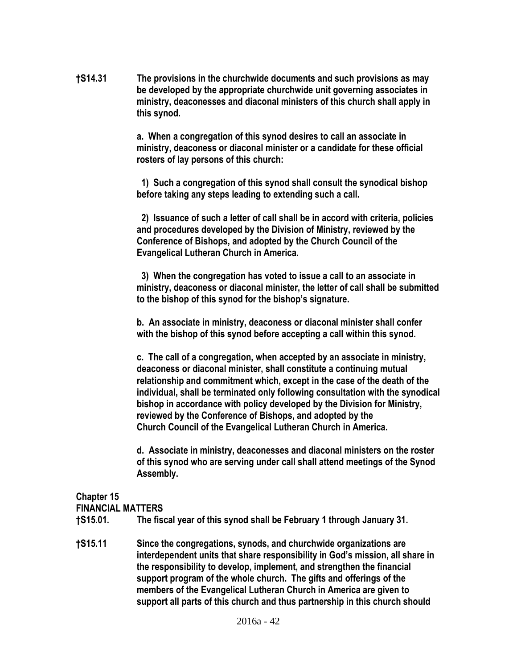**†S14.31 The provisions in the churchwide documents and such provisions as may be developed by the appropriate churchwide unit governing associates in ministry, deaconesses and diaconal ministers of this church shall apply in this synod.**

> **a. When a congregation of this synod desires to call an associate in ministry, deaconess or diaconal minister or a candidate for these official rosters of lay persons of this church:**

 **1) Such a congregation of this synod shall consult the synodical bishop before taking any steps leading to extending such a call.**

 **2) Issuance of such a letter of call shall be in accord with criteria, policies and procedures developed by the Division of Ministry, reviewed by the Conference of Bishops, and adopted by the Church Council of the Evangelical Lutheran Church in America.**

 **3) When the congregation has voted to issue a call to an associate in ministry, deaconess or diaconal minister, the letter of call shall be submitted to the bishop of this synod for the bishop's signature.**

**b. An associate in ministry, deaconess or diaconal minister shall confer with the bishop of this synod before accepting a call within this synod.**

**c. The call of a congregation, when accepted by an associate in ministry, deaconess or diaconal minister, shall constitute a continuing mutual relationship and commitment which, except in the case of the death of the individual, shall be terminated only following consultation with the synodical bishop in accordance with policy developed by the Division for Ministry, reviewed by the Conference of Bishops, and adopted by the Church Council of the Evangelical Lutheran Church in America.**

**d. Associate in ministry, deaconesses and diaconal ministers on the roster of this synod who are serving under call shall attend meetings of the Synod Assembly.**

## **Chapter 15**

## **FINANCIAL MATTERS**

**†S15.01. The fiscal year of this synod shall be February 1 through January 31.**

**†S15.11 Since the congregations, synods, and churchwide organizations are interdependent units that share responsibility in God's mission, all share in the responsibility to develop, implement, and strengthen the financial support program of the whole church. The gifts and offerings of the members of the Evangelical Lutheran Church in America are given to support all parts of this church and thus partnership in this church should**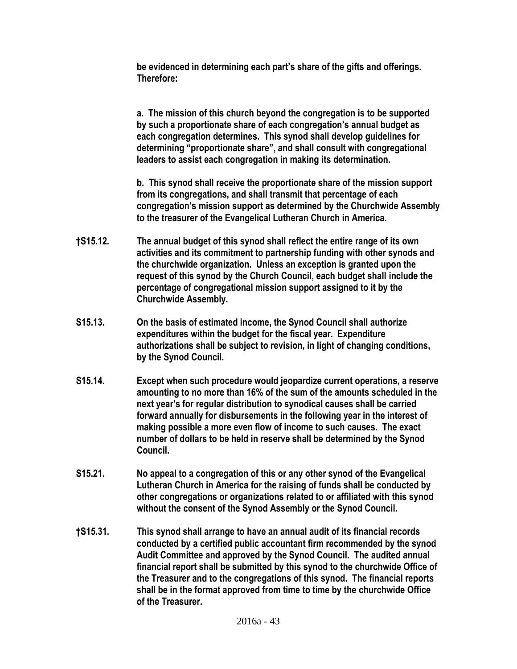**be evidenced in determining each part's share of the gifts and offerings. Therefore:**

**a. The mission of this church beyond the congregation is to be supported by such a proportionate share of each congregation's annual budget as each congregation determines. This synod shall develop guidelines for determining "proportionate share", and shall consult with congregational leaders to assist each congregation in making its determination.**

**b. This synod shall receive the proportionate share of the mission support from its congregations, and shall transmit that percentage of each congregation's mission support as determined by the Churchwide Assembly to the treasurer of the Evangelical Lutheran Church in America.**

- **†S15.12. The annual budget of this synod shall reflect the entire range of its own activities and its commitment to partnership funding with other synods and the churchwide organization. Unless an exception is granted upon the request of this synod by the Church Council, each budget shall include the percentage of congregational mission support assigned to it by the Churchwide Assembly.**
- **S15.13. On the basis of estimated income, the Synod Council shall authorize expenditures within the budget for the fiscal year. Expenditure authorizations shall be subject to revision, in light of changing conditions, by the Synod Council.**
- **S15.14. Except when such procedure would jeopardize current operations, a reserve amounting to no more than 16% of the sum of the amounts scheduled in the next year's for regular distribution to synodical causes shall be carried forward annually for disbursements in the following year in the interest of making possible a more even flow of income to such causes. The exact number of dollars to be held in reserve shall be determined by the Synod Council.**
- **S15.21. No appeal to a congregation of this or any other synod of the Evangelical Lutheran Church in America for the raising of funds shall be conducted by other congregations or organizations related to or affiliated with this synod without the consent of the Synod Assembly or the Synod Council.**
- **†S15.31. This synod shall arrange to have an annual audit of its financial records conducted by a certified public accountant firm recommended by the synod Audit Committee and approved by the Synod Council. The audited annual financial report shall be submitted by this synod to the churchwide Office of the Treasurer and to the congregations of this synod. The financial reports shall be in the format approved from time to time by the churchwide Office of the Treasurer.**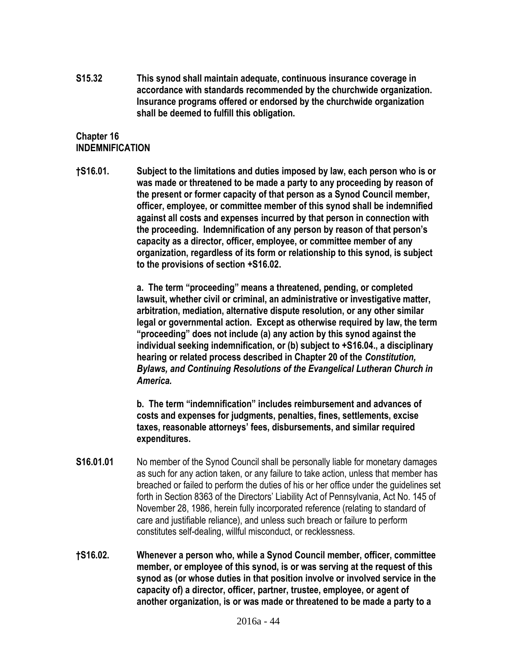**S15.32 This synod shall maintain adequate, continuous insurance coverage in accordance with standards recommended by the churchwide organization. Insurance programs offered or endorsed by the churchwide organization shall be deemed to fulfill this obligation.**

# **Chapter 16 INDEMNIFICATION**

**†S16.01. Subject to the limitations and duties imposed by law, each person who is or was made or threatened to be made a party to any proceeding by reason of the present or former capacity of that person as a Synod Council member, officer, employee, or committee member of this synod shall be indemnified against all costs and expenses incurred by that person in connection with the proceeding. Indemnification of any person by reason of that person's capacity as a director, officer, employee, or committee member of any organization, regardless of its form or relationship to this synod, is subject to the provisions of section +S16.02.**

> **a. The term "proceeding" means a threatened, pending, or completed lawsuit, whether civil or criminal, an administrative or investigative matter, arbitration, mediation, alternative dispute resolution, or any other similar legal or governmental action. Except as otherwise required by law, the term "proceeding" does not include (a) any action by this synod against the individual seeking indemnification, or (b) subject to +S16.04., a disciplinary hearing or related process described in Chapter 20 of the** *Constitution, Bylaws, and Continuing Resolutions of the Evangelical Lutheran Church in America.*

**b. The term "indemnification" includes reimbursement and advances of costs and expenses for judgments, penalties, fines, settlements, excise taxes, reasonable attorneys' fees, disbursements, and similar required expenditures.**

- **S16.01.01** No member of the Synod Council shall be personally liable for monetary damages as such for any action taken, or any failure to take action, unless that member has breached or failed to perform the duties of his or her office under the guidelines set forth in Section 8363 of the Directors' Liability Act of Pennsylvania, Act No. 145 of November 28, 1986, herein fully incorporated reference (relating to standard of care and justifiable reliance), and unless such breach or failure to perform constitutes self-dealing, willful misconduct, or recklessness.
- **†S16.02. Whenever a person who, while a Synod Council member, officer, committee member, or employee of this synod, is or was serving at the request of this synod as (or whose duties in that position involve or involved service in the capacity of) a director, officer, partner, trustee, employee, or agent of another organization, is or was made or threatened to be made a party to a**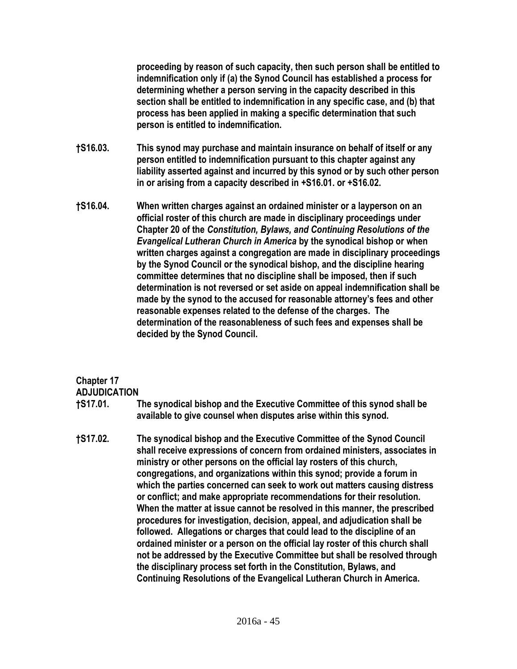**proceeding by reason of such capacity, then such person shall be entitled to indemnification only if (a) the Synod Council has established a process for determining whether a person serving in the capacity described in this section shall be entitled to indemnification in any specific case, and (b) that process has been applied in making a specific determination that such person is entitled to indemnification.**

- **†S16.03. This synod may purchase and maintain insurance on behalf of itself or any person entitled to indemnification pursuant to this chapter against any liability asserted against and incurred by this synod or by such other person in or arising from a capacity described in +S16.01. or +S16.02.**
- **†S16.04. When written charges against an ordained minister or a layperson on an official roster of this church are made in disciplinary proceedings under Chapter 20 of the** *Constitution, Bylaws, and Continuing Resolutions of the Evangelical Lutheran Church in America* **by the synodical bishop or when written charges against a congregation are made in disciplinary proceedings by the Synod Council or the synodical bishop, and the discipline hearing committee determines that no discipline shall be imposed, then if such determination is not reversed or set aside on appeal indemnification shall be made by the synod to the accused for reasonable attorney's fees and other reasonable expenses related to the defense of the charges. The determination of the reasonableness of such fees and expenses shall be decided by the Synod Council.**

# **Chapter 17**

## **ADJUDICATION**

- **†S17.01. The synodical bishop and the Executive Committee of this synod shall be available to give counsel when disputes arise within this synod.**
- **†S17.02. The synodical bishop and the Executive Committee of the Synod Council shall receive expressions of concern from ordained ministers, associates in ministry or other persons on the official lay rosters of this church, congregations, and organizations within this synod; provide a forum in which the parties concerned can seek to work out matters causing distress or conflict; and make appropriate recommendations for their resolution. When the matter at issue cannot be resolved in this manner, the prescribed procedures for investigation, decision, appeal, and adjudication shall be followed. Allegations or charges that could lead to the discipline of an ordained minister or a person on the official lay roster of this church shall not be addressed by the Executive Committee but shall be resolved through the disciplinary process set forth in the Constitution, Bylaws, and Continuing Resolutions of the Evangelical Lutheran Church in America.**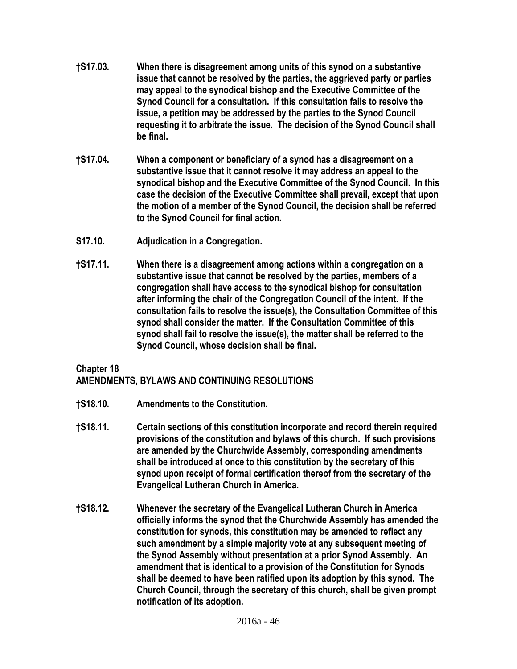- **†S17.03. When there is disagreement among units of this synod on a substantive issue that cannot be resolved by the parties, the aggrieved party or parties may appeal to the synodical bishop and the Executive Committee of the Synod Council for a consultation. If this consultation fails to resolve the issue, a petition may be addressed by the parties to the Synod Council requesting it to arbitrate the issue. The decision of the Synod Council shall be final.**
- **†S17.04. When a component or beneficiary of a synod has a disagreement on a substantive issue that it cannot resolve it may address an appeal to the synodical bishop and the Executive Committee of the Synod Council. In this case the decision of the Executive Committee shall prevail, except that upon the motion of a member of the Synod Council, the decision shall be referred to the Synod Council for final action.**
- **S17.10. Adjudication in a Congregation.**
- **†S17.11. When there is a disagreement among actions within a congregation on a substantive issue that cannot be resolved by the parties, members of a congregation shall have access to the synodical bishop for consultation after informing the chair of the Congregation Council of the intent. If the consultation fails to resolve the issue(s), the Consultation Committee of this synod shall consider the matter. If the Consultation Committee of this synod shall fail to resolve the issue(s), the matter shall be referred to the Synod Council, whose decision shall be final.**

# **Chapter 18 AMENDMENTS, BYLAWS AND CONTINUING RESOLUTIONS**

- **†S18.10. Amendments to the Constitution.**
- **†S18.11. Certain sections of this constitution incorporate and record therein required provisions of the constitution and bylaws of this church. If such provisions are amended by the Churchwide Assembly, corresponding amendments shall be introduced at once to this constitution by the secretary of this synod upon receipt of formal certification thereof from the secretary of the Evangelical Lutheran Church in America.**
- **†S18.12. Whenever the secretary of the Evangelical Lutheran Church in America officially informs the synod that the Churchwide Assembly has amended the constitution for synods, this constitution may be amended to reflect any such amendment by a simple majority vote at any subsequent meeting of the Synod Assembly without presentation at a prior Synod Assembly. An amendment that is identical to a provision of the Constitution for Synods shall be deemed to have been ratified upon its adoption by this synod. The Church Council, through the secretary of this church, shall be given prompt notification of its adoption.**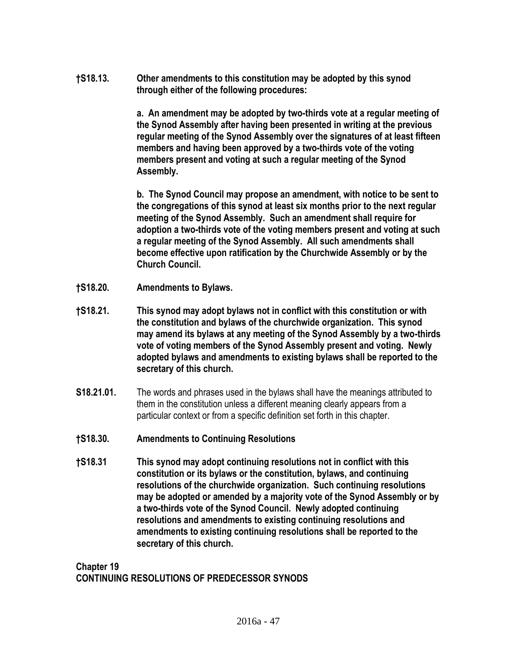**†S18.13. Other amendments to this constitution may be adopted by this synod through either of the following procedures:**

> **a. An amendment may be adopted by two-thirds vote at a regular meeting of the Synod Assembly after having been presented in writing at the previous regular meeting of the Synod Assembly over the signatures of at least fifteen members and having been approved by a two-thirds vote of the voting members present and voting at such a regular meeting of the Synod Assembly.**

> **b. The Synod Council may propose an amendment, with notice to be sent to the congregations of this synod at least six months prior to the next regular meeting of the Synod Assembly. Such an amendment shall require for adoption a two-thirds vote of the voting members present and voting at such a regular meeting of the Synod Assembly. All such amendments shall become effective upon ratification by the Churchwide Assembly or by the Church Council.**

- **†S18.20. Amendments to Bylaws.**
- **†S18.21. This synod may adopt bylaws not in conflict with this constitution or with the constitution and bylaws of the churchwide organization. This synod may amend its bylaws at any meeting of the Synod Assembly by a two-thirds vote of voting members of the Synod Assembly present and voting. Newly adopted bylaws and amendments to existing bylaws shall be reported to the secretary of this church.**
- **S18.21.01.** The words and phrases used in the bylaws shall have the meanings attributed to them in the constitution unless a different meaning clearly appears from a particular context or from a specific definition set forth in this chapter.
- **†S18.30. Amendments to Continuing Resolutions**
- **†S18.31 This synod may adopt continuing resolutions not in conflict with this constitution or its bylaws or the constitution, bylaws, and continuing resolutions of the churchwide organization. Such continuing resolutions may be adopted or amended by a majority vote of the Synod Assembly or by a two-thirds vote of the Synod Council. Newly adopted continuing resolutions and amendments to existing continuing resolutions and amendments to existing continuing resolutions shall be reported to the secretary of this church.**

# **Chapter 19 CONTINUING RESOLUTIONS OF PREDECESSOR SYNODS**